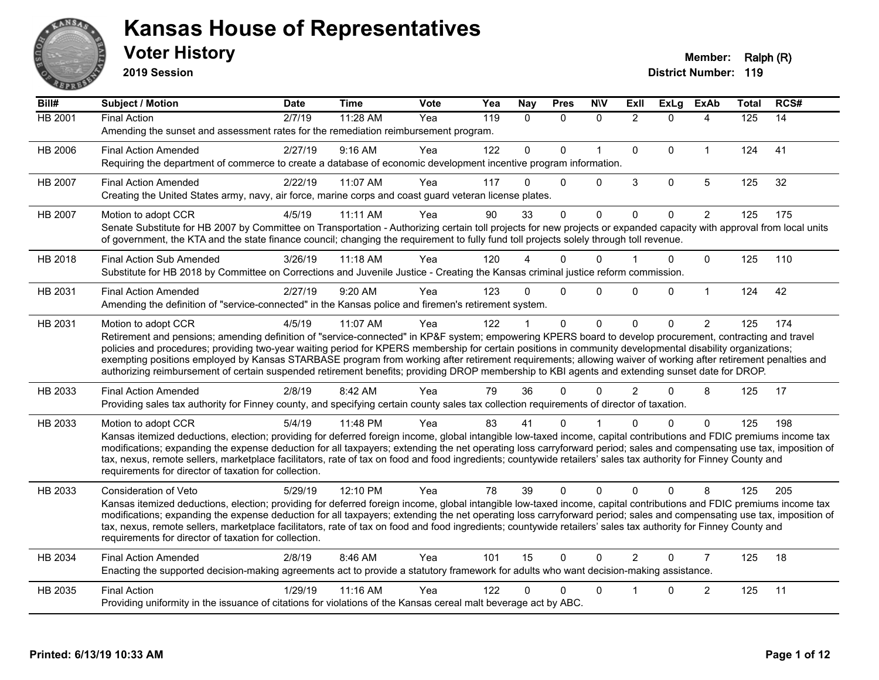

**2019 Session**

| Bill#          | Subject / Motion                                                                                                                                                                                                                                                                                                                                                                                                                                                                                                                                                                                                                                                   | <b>Date</b> | <b>Time</b> | <b>Vote</b> | Yea | <b>Nay</b>   | <b>Pres</b> | <b>N\V</b>   | ExIl           | <b>ExLg</b>  | <b>ExAb</b>    | <b>Total</b> | RCS# |
|----------------|--------------------------------------------------------------------------------------------------------------------------------------------------------------------------------------------------------------------------------------------------------------------------------------------------------------------------------------------------------------------------------------------------------------------------------------------------------------------------------------------------------------------------------------------------------------------------------------------------------------------------------------------------------------------|-------------|-------------|-------------|-----|--------------|-------------|--------------|----------------|--------------|----------------|--------------|------|
| <b>HB 2001</b> | <b>Final Action</b><br>Amending the sunset and assessment rates for the remediation reimbursement program.                                                                                                                                                                                                                                                                                                                                                                                                                                                                                                                                                         | 2/7/19      | 11:28 AM    | Yea         | 119 | $\mathbf{0}$ | $\Omega$    | $\mathbf{0}$ | $\overline{2}$ | $\Omega$     | 4              | 125          | 14   |
| HB 2006        | <b>Final Action Amended</b><br>Requiring the department of commerce to create a database of economic development incentive program information.                                                                                                                                                                                                                                                                                                                                                                                                                                                                                                                    | 2/27/19     | $9:16$ AM   | Yea         | 122 | $\Omega$     | $\Omega$    | $\mathbf{1}$ | $\mathbf{0}$   | $\Omega$     | $\mathbf{1}$   | 124          | 41   |
| HB 2007        | <b>Final Action Amended</b><br>Creating the United States army, navy, air force, marine corps and coast guard veteran license plates.                                                                                                                                                                                                                                                                                                                                                                                                                                                                                                                              | 2/22/19     | 11:07 AM    | Yea         | 117 | $\Omega$     | $\Omega$    | $\Omega$     | $\mathbf{3}$   | $\mathbf{0}$ | 5              | 125          | 32   |
| HB 2007        | Motion to adopt CCR<br>Senate Substitute for HB 2007 by Committee on Transportation - Authorizing certain toll projects for new projects or expanded capacity with approval from local units<br>of government, the KTA and the state finance council; changing the requirement to fully fund toll projects solely through toll revenue.                                                                                                                                                                                                                                                                                                                            | 4/5/19      | 11:11 AM    | Yea         | 90  | 33           | $\Omega$    | $\Omega$     | $\Omega$       | $\Omega$     | $\overline{2}$ | 125          | 175  |
| HB 2018        | <b>Final Action Sub Amended</b><br>Substitute for HB 2018 by Committee on Corrections and Juvenile Justice - Creating the Kansas criminal justice reform commission.                                                                                                                                                                                                                                                                                                                                                                                                                                                                                               | 3/26/19     | 11:18 AM    | Yea         | 120 |              | $\Omega$    | $\mathbf{0}$ |                | 0            | $\mathbf 0$    | 125          | 110  |
| HB 2031        | <b>Final Action Amended</b><br>Amending the definition of "service-connected" in the Kansas police and firemen's retirement system.                                                                                                                                                                                                                                                                                                                                                                                                                                                                                                                                | 2/27/19     | 9:20 AM     | Yea         | 123 | $\Omega$     | $\Omega$    | $\Omega$     | $\Omega$       | $\Omega$     | $\mathbf{1}$   | 124          | 42   |
| HB 2031        | Motion to adopt CCR<br>Retirement and pensions; amending definition of "service-connected" in KP&F system; empowering KPERS board to develop procurement, contracting and travel<br>policies and procedures; providing two-year waiting period for KPERS membership for certain positions in community developmental disability organizations;<br>exempting positions employed by Kansas STARBASE program from working after retirement requirements; allowing waiver of working after retirement penalties and<br>authorizing reimbursement of certain suspended retirement benefits; providing DROP membership to KBI agents and extending sunset date for DROP. | 4/5/19      | 11:07 AM    | Yea         | 122 |              | $\mathbf 0$ | $\mathbf 0$  | $\Omega$       | $\Omega$     | $\overline{2}$ | 125          | 174  |
| HB 2033        | <b>Final Action Amended</b><br>Providing sales tax authority for Finney county, and specifying certain county sales tax collection requirements of director of taxation.                                                                                                                                                                                                                                                                                                                                                                                                                                                                                           | 2/8/19      | 8:42 AM     | Yea         | 79  | 36           | $\Omega$    | $\Omega$     | $\overline{2}$ | $\Omega$     | 8              | 125          | 17   |
| HB 2033        | Motion to adopt CCR<br>Kansas itemized deductions, election; providing for deferred foreign income, global intangible low-taxed income, capital contributions and FDIC premiums income tax<br>modifications; expanding the expense deduction for all taxpayers; extending the net operating loss carryforward period; sales and compensating use tax, imposition of<br>tax, nexus, remote sellers, marketplace facilitators, rate of tax on food and food ingredients; countywide retailers' sales tax authority for Finney County and<br>requirements for director of taxation for collection.                                                                    | 5/4/19      | 11:48 PM    | Yea         | 83  | 41           | 0           |              |                | $\Omega$     | $\Omega$       | 125          | 198  |
| HB 2033        | Consideration of Veto<br>Kansas itemized deductions, election; providing for deferred foreign income, global intangible low-taxed income, capital contributions and FDIC premiums income tax<br>modifications; expanding the expense deduction for all taxpayers; extending the net operating loss carryforward period; sales and compensating use tax, imposition of<br>tax, nexus, remote sellers, marketplace facilitators, rate of tax on food and food ingredients; countywide retailers' sales tax authority for Finney County and<br>requirements for director of taxation for collection.                                                                  | 5/29/19     | 12:10 PM    | Yea         | 78  | 39           | $\Omega$    | $\Omega$     | $\Omega$       | $\Omega$     | 8              | 125          | 205  |
| HB 2034        | <b>Final Action Amended</b><br>Enacting the supported decision-making agreements act to provide a statutory framework for adults who want decision-making assistance.                                                                                                                                                                                                                                                                                                                                                                                                                                                                                              | 2/8/19      | 8:46 AM     | Yea         | 101 | 15           | $\Omega$    | $\Omega$     | $\mathcal{P}$  | $\Omega$     | $\overline{7}$ | 125          | 18   |
| HB 2035        | <b>Final Action</b><br>Providing uniformity in the issuance of citations for violations of the Kansas cereal malt beverage act by ABC.                                                                                                                                                                                                                                                                                                                                                                                                                                                                                                                             | 1/29/19     | 11:16 AM    | Yea         | 122 | 0            | $\Omega$    | $\mathbf 0$  |                | 0            | $\overline{c}$ | 125          | 11   |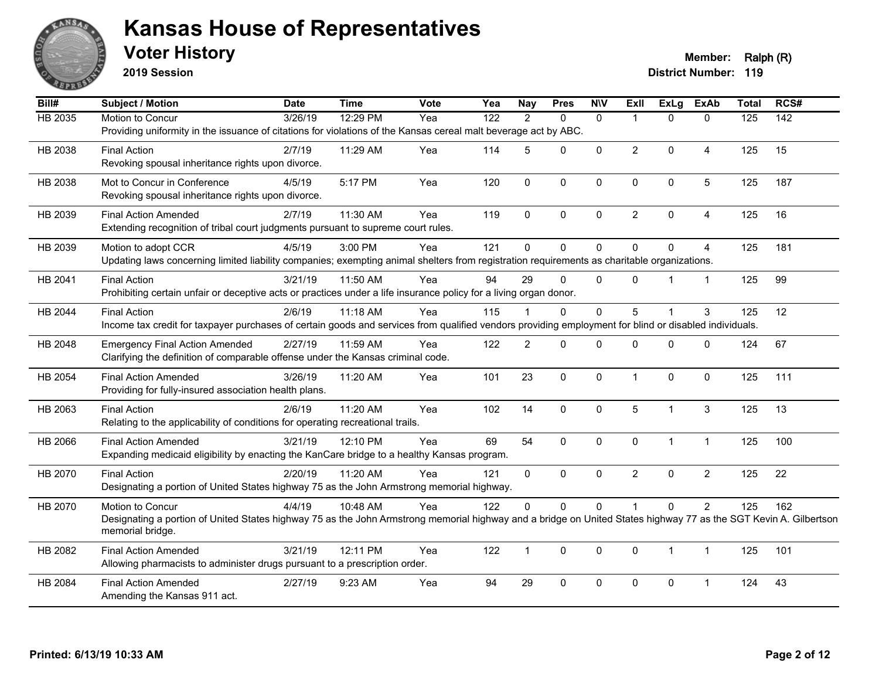

**2019 Session**

**Voter History Member: Ralph (R)** 

| Bill#   | <b>Subject / Motion</b>                                                                                                                                          | <b>Date</b> | <b>Time</b> | Vote | Yea | <b>Nay</b>     | <b>Pres</b>  | <b>N\V</b>   | <b>Exll</b>    | ExLg         | <b>ExAb</b>    | <b>Total</b> | RCS# |
|---------|------------------------------------------------------------------------------------------------------------------------------------------------------------------|-------------|-------------|------|-----|----------------|--------------|--------------|----------------|--------------|----------------|--------------|------|
| HB 2035 | Motion to Concur                                                                                                                                                 | 3/26/19     | 12:29 PM    | Yea  | 122 | 2              | $\Omega$     | $\mathbf{0}$ |                | $\Omega$     | $\mathbf{0}$   | 125          | 142  |
|         | Providing uniformity in the issuance of citations for violations of the Kansas cereal malt beverage act by ABC.                                                  |             |             |      |     |                |              |              |                |              |                |              |      |
| HB 2038 | <b>Final Action</b>                                                                                                                                              | 2/7/19      | 11:29 AM    | Yea  | 114 | 5              | $\Omega$     | $\mathbf 0$  | $\overline{2}$ | $\mathbf 0$  | $\overline{4}$ | 125          | 15   |
|         | Revoking spousal inheritance rights upon divorce.                                                                                                                |             |             |      |     |                |              |              |                |              |                |              |      |
| HB 2038 | Mot to Concur in Conference                                                                                                                                      | 4/5/19      | 5:17 PM     | Yea  | 120 | $\mathbf{0}$   | 0            | $\mathbf 0$  | $\Omega$       | $\mathbf{0}$ | $\overline{5}$ | 125          | 187  |
|         | Revoking spousal inheritance rights upon divorce.                                                                                                                |             |             |      |     |                |              |              |                |              |                |              |      |
| HB 2039 | <b>Final Action Amended</b>                                                                                                                                      | 2/7/19      | 11:30 AM    | Yea  | 119 | $\mathbf{0}$   | $\Omega$     | $\mathbf 0$  | $\overline{2}$ | $\Omega$     | 4              | 125          | 16   |
|         | Extending recognition of tribal court judgments pursuant to supreme court rules.                                                                                 |             |             |      |     |                |              |              |                |              |                |              |      |
| HB 2039 | Motion to adopt CCR                                                                                                                                              | 4/5/19      | 3:00 PM     | Yea  | 121 | $\mathbf 0$    | 0            | $\mathbf 0$  | $\Omega$       | $\mathbf 0$  | $\overline{4}$ | 125          | 181  |
|         | Updating laws concerning limited liability companies; exempting animal shelters from registration requirements as charitable organizations.                      |             |             |      |     |                |              |              |                |              |                |              |      |
| HB 2041 | <b>Final Action</b>                                                                                                                                              | 3/21/19     | 11:50 AM    | Yea  | 94  | 29             | $\Omega$     | $\Omega$     | $\Omega$       |              | $\mathbf{1}$   | 125          | 99   |
|         | Prohibiting certain unfair or deceptive acts or practices under a life insurance policy for a living organ donor.                                                |             |             |      |     |                |              |              |                |              |                |              |      |
| HB 2044 | <b>Final Action</b>                                                                                                                                              | 2/6/19      | 11:18 AM    | Yea  | 115 |                | $\Omega$     | $\mathbf 0$  | 5              |              | 3              | 125          | 12   |
|         | Income tax credit for taxpayer purchases of certain goods and services from qualified vendors providing employment for blind or disabled individuals.            |             |             |      |     |                |              |              |                |              |                |              |      |
| HB 2048 | <b>Emergency Final Action Amended</b>                                                                                                                            | 2/27/19     | 11:59 AM    | Yea  | 122 | $\overline{2}$ | $\mathbf{0}$ | 0            | $\Omega$       | $\Omega$     | $\mathbf 0$    | 124          | 67   |
|         | Clarifying the definition of comparable offense under the Kansas criminal code.                                                                                  |             |             |      |     |                |              |              |                |              |                |              |      |
| HB 2054 | <b>Final Action Amended</b>                                                                                                                                      | 3/26/19     | 11:20 AM    | Yea  | 101 | 23             | 0            | $\mathbf 0$  | $\mathbf 1$    | $\mathbf{0}$ | $\mathbf 0$    | 125          | 111  |
|         | Providing for fully-insured association health plans.                                                                                                            |             |             |      |     |                |              |              |                |              |                |              |      |
| HB 2063 | <b>Final Action</b>                                                                                                                                              | 2/6/19      | 11:20 AM    | Yea  | 102 | 14             | 0            | $\mathbf 0$  | 5              | $\mathbf{1}$ | 3              | 125          | 13   |
|         | Relating to the applicability of conditions for operating recreational trails.                                                                                   |             |             |      |     |                |              |              |                |              |                |              |      |
| HB 2066 | <b>Final Action Amended</b>                                                                                                                                      | 3/21/19     | 12:10 PM    | Yea  | 69  | 54             | $\Omega$     | $\mathbf{0}$ | $\Omega$       | $\mathbf{1}$ | $\mathbf{1}$   | 125          | 100  |
|         | Expanding medicaid eligibility by enacting the KanCare bridge to a healthy Kansas program.                                                                       |             |             |      |     |                |              |              |                |              |                |              |      |
| HB 2070 | <b>Final Action</b>                                                                                                                                              | 2/20/19     | 11:20 AM    | Yea  | 121 | $\mathbf 0$    | 0            | $\mathbf 0$  | $\overline{c}$ | $\mathbf 0$  | $\overline{2}$ | 125          | 22   |
|         | Designating a portion of United States highway 75 as the John Armstrong memorial highway.                                                                        |             |             |      |     |                |              |              |                |              |                |              |      |
| HB 2070 | Motion to Concur                                                                                                                                                 | 4/4/19      | 10:48 AM    | Yea  | 122 | $\Omega$       | 0            | $\mathbf 0$  |                | $\Omega$     | $\overline{2}$ | 125          | 162  |
|         | Designating a portion of United States highway 75 as the John Armstrong memorial highway and a bridge on United States highway 77 as the SGT Kevin A. Gilbertson |             |             |      |     |                |              |              |                |              |                |              |      |
|         | memorial bridge.                                                                                                                                                 |             |             |      |     |                |              |              |                |              |                |              |      |
| HB 2082 | <b>Final Action Amended</b>                                                                                                                                      | 3/21/19     | 12:11 PM    | Yea  | 122 | $\mathbf{1}$   | 0            | $\mathbf 0$  | $\mathbf 0$    | $\mathbf{1}$ | $\mathbf{1}$   | 125          | 101  |
|         | Allowing pharmacists to administer drugs pursuant to a prescription order.                                                                                       |             |             |      |     |                |              |              |                |              |                |              |      |
| HB 2084 | <b>Final Action Amended</b>                                                                                                                                      | 2/27/19     | 9:23 AM     | Yea  | 94  | 29             | $\Omega$     | $\mathbf{0}$ | $\Omega$       | $\Omega$     | 1              | 124          | 43   |
|         | Amending the Kansas 911 act.                                                                                                                                     |             |             |      |     |                |              |              |                |              |                |              |      |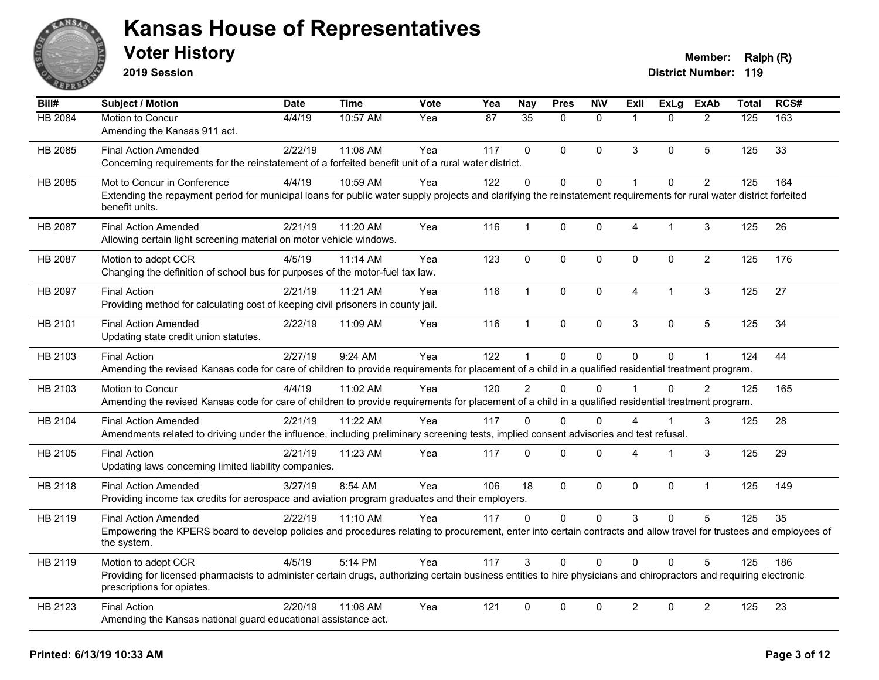

**2019 Session**

| $\overline{BiII#}$ | Subject / Motion                                                                                                                                                                                  | <b>Date</b> | <b>Time</b> | Vote | Yea | <b>Nay</b>   | <b>Pres</b> | <b>NIV</b>   | ExII                   | <b>ExLg</b> | <b>ExAb</b>    | <b>Total</b> | RCS# |
|--------------------|---------------------------------------------------------------------------------------------------------------------------------------------------------------------------------------------------|-------------|-------------|------|-----|--------------|-------------|--------------|------------------------|-------------|----------------|--------------|------|
| HB 2084            | Motion to Concur                                                                                                                                                                                  | 4/4/19      | 10:57 AM    | Yea  | 87  | 35           | $\Omega$    | $\Omega$     | $\mathbf{1}$           | $\Omega$    | $\overline{2}$ | 125          | 163  |
|                    | Amending the Kansas 911 act.                                                                                                                                                                      |             |             |      |     |              |             |              |                        |             |                |              |      |
| HB 2085            | <b>Final Action Amended</b>                                                                                                                                                                       | 2/22/19     | 11:08 AM    | Yea  | 117 | $\mathbf{0}$ | $\Omega$    | $\Omega$     | 3                      | $\Omega$    | 5              | 125          | 33   |
|                    | Concerning requirements for the reinstatement of a forfeited benefit unit of a rural water district.                                                                                              |             |             |      |     |              |             |              |                        |             |                |              |      |
| HB 2085            | Mot to Concur in Conference                                                                                                                                                                       | 4/4/19      | 10:59 AM    | Yea  | 122 | $\Omega$     | $\Omega$    | $\Omega$     | $\overline{1}$         | $\Omega$    | $\overline{2}$ | 125          | 164  |
|                    | Extending the repayment period for municipal loans for public water supply projects and clarifying the reinstatement requirements for rural water district forfeited<br>benefit units.            |             |             |      |     |              |             |              |                        |             |                |              |      |
| HB 2087            | <b>Final Action Amended</b>                                                                                                                                                                       | 2/21/19     | 11:20 AM    | Yea  | 116 | $\mathbf{1}$ | 0           | $\mathbf 0$  | 4                      | 1           | 3              | 125          | 26   |
|                    | Allowing certain light screening material on motor vehicle windows.                                                                                                                               |             |             |      |     |              |             |              |                        |             |                |              |      |
| HB 2087            | Motion to adopt CCR                                                                                                                                                                               | 4/5/19      | 11:14 AM    | Yea  | 123 | $\mathbf 0$  | 0           | $\mathbf 0$  | $\mathbf 0$            | 0           | $\overline{a}$ | 125          | 176  |
|                    | Changing the definition of school bus for purposes of the motor-fuel tax law.                                                                                                                     |             |             |      |     |              |             |              |                        |             |                |              |      |
| HB 2097            | <b>Final Action</b>                                                                                                                                                                               | 2/21/19     | 11:21 AM    | Yea  | 116 | $\mathbf{1}$ | $\Omega$    | $\mathbf{0}$ | $\overline{4}$         | 1           | 3              | 125          | 27   |
|                    | Providing method for calculating cost of keeping civil prisoners in county jail.                                                                                                                  |             |             |      |     |              |             |              |                        |             |                |              |      |
| HB 2101            | <b>Final Action Amended</b>                                                                                                                                                                       | 2/22/19     | 11:09 AM    | Yea  | 116 | $\mathbf{1}$ | 0           | $\mathbf 0$  | 3                      | 0           | 5              | 125          | 34   |
|                    | Updating state credit union statutes.                                                                                                                                                             |             |             |      |     |              |             |              |                        |             |                |              |      |
| HB 2103            | <b>Final Action</b>                                                                                                                                                                               | 2/27/19     | 9:24 AM     | Yea  | 122 | $\mathbf{1}$ | $\mathbf 0$ | 0            | $\mathbf{0}$           | $\Omega$    | 1              | 124          | 44   |
|                    | Amending the revised Kansas code for care of children to provide requirements for placement of a child in a qualified residential treatment program.                                              |             |             |      |     |              |             |              |                        |             |                |              |      |
| HB 2103            | Motion to Concur                                                                                                                                                                                  | 4/4/19      | 11:02 AM    | Yea  | 120 | 2            | $\Omega$    | $\Omega$     | $\blacktriangleleft$   | $\Omega$    | $\mathcal{P}$  | 125          | 165  |
|                    | Amending the revised Kansas code for care of children to provide requirements for placement of a child in a qualified residential treatment program.                                              |             |             |      |     |              |             |              |                        |             |                |              |      |
| HB 2104            | <b>Final Action Amended</b>                                                                                                                                                                       | 2/21/19     | 11:22 AM    | Yea  | 117 | $\Omega$     | $\Omega$    | $\Omega$     | Δ                      |             | 3              | 125          | 28   |
|                    | Amendments related to driving under the influence, including preliminary screening tests, implied consent advisories and test refusal.                                                            |             |             |      |     |              |             |              |                        |             |                |              |      |
| HB 2105            | <b>Final Action</b>                                                                                                                                                                               | 2/21/19     | 11:23 AM    | Yea  | 117 | $\mathbf{0}$ | $\Omega$    | $\Omega$     | $\boldsymbol{\Lambda}$ | 1           | 3              | 125          | 29   |
|                    | Updating laws concerning limited liability companies.                                                                                                                                             |             |             |      |     |              |             |              |                        |             |                |              |      |
| HB 2118            | <b>Final Action Amended</b>                                                                                                                                                                       | 3/27/19     | 8:54 AM     | Yea  | 106 | 18           | $\Omega$    | $\mathbf{0}$ | $\mathbf{0}$           | $\Omega$    | $\mathbf{1}$   | 125          | 149  |
|                    | Providing income tax credits for aerospace and aviation program graduates and their employers.                                                                                                    |             |             |      |     |              |             |              |                        |             |                |              |      |
| HB 2119            | <b>Final Action Amended</b>                                                                                                                                                                       | 2/22/19     | 11:10 AM    | Yea  | 117 | $\mathbf{0}$ | $\Omega$    | $\Omega$     | 3                      | $\Omega$    | 5              | 125          | 35   |
|                    | Empowering the KPERS board to develop policies and procedures relating to procurement, enter into certain contracts and allow travel for trustees and employees of<br>the system.                 |             |             |      |     |              |             |              |                        |             |                |              |      |
| HB 2119            | Motion to adopt CCR                                                                                                                                                                               | 4/5/19      | 5:14 PM     | Yea  | 117 | 3            | $\mathbf 0$ | $\Omega$     | $\Omega$               | $\Omega$    | 5              | 125          | 186  |
|                    | Providing for licensed pharmacists to administer certain drugs, authorizing certain business entities to hire physicians and chiropractors and requiring electronic<br>prescriptions for opiates. |             |             |      |     |              |             |              |                        |             |                |              |      |
| HB 2123            | <b>Final Action</b>                                                                                                                                                                               | 2/20/19     | 11:08 AM    | Yea  | 121 | $\mathbf{0}$ | $\Omega$    | $\Omega$     | $\overline{2}$         | $\Omega$    | $\overline{2}$ | 125          | 23   |
|                    | Amending the Kansas national guard educational assistance act.                                                                                                                                    |             |             |      |     |              |             |              |                        |             |                |              |      |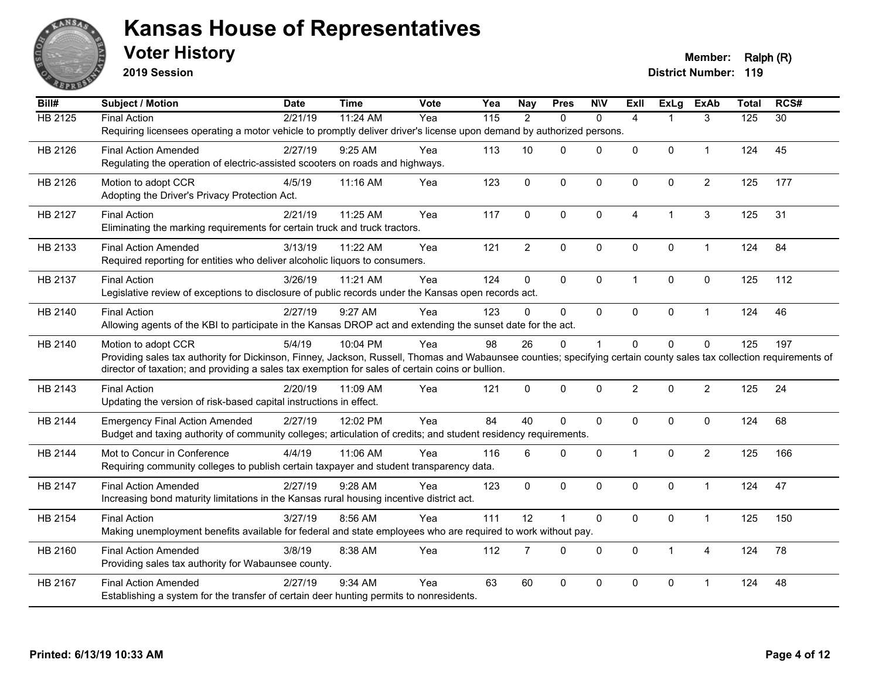

**2019 Session**

| Bill#          | <b>Subject / Motion</b>                                                                                                                                              | <b>Date</b> | <b>Time</b> | Vote | Yea | <b>Nay</b>     | <b>Pres</b>    | <b>N\V</b>   | <b>Exll</b>             | ExLg                 | <b>ExAb</b>    | <b>Total</b> | RCS#            |
|----------------|----------------------------------------------------------------------------------------------------------------------------------------------------------------------|-------------|-------------|------|-----|----------------|----------------|--------------|-------------------------|----------------------|----------------|--------------|-----------------|
| <b>HB 2125</b> | <b>Final Action</b>                                                                                                                                                  | 2/21/19     | 11:24 AM    | Yea  | 115 | $\overline{2}$ | $\Omega$       | $\mathbf{0}$ | $\overline{4}$          |                      | 3              | 125          | $\overline{30}$ |
|                | Requiring licensees operating a motor vehicle to promptly deliver driver's license upon demand by authorized persons.                                                |             |             |      |     |                |                |              |                         |                      |                |              |                 |
| HB 2126        | <b>Final Action Amended</b>                                                                                                                                          | 2/27/19     | $9:25$ AM   | Yea  | 113 | 10             | $\Omega$       | $\Omega$     | $\Omega$                | $\Omega$             | $\mathbf{1}$   | 124          | 45              |
|                | Regulating the operation of electric-assisted scooters on roads and highways.                                                                                        |             |             |      |     |                |                |              |                         |                      |                |              |                 |
| HB 2126        | Motion to adopt CCR                                                                                                                                                  | 4/5/19      | 11:16 AM    | Yea  | 123 | $\mathbf 0$    | 0              | $\mathbf 0$  | $\Omega$                | $\mathbf 0$          | $\overline{2}$ | 125          | 177             |
|                | Adopting the Driver's Privacy Protection Act.                                                                                                                        |             |             |      |     |                |                |              |                         |                      |                |              |                 |
| HB 2127        | <b>Final Action</b>                                                                                                                                                  | 2/21/19     | 11:25 AM    | Yea  | 117 | 0              | $\mathbf 0$    | $\pmb{0}$    | $\overline{4}$          | $\blacktriangleleft$ | $\mathbf{3}$   | 125          | 31              |
|                | Eliminating the marking requirements for certain truck and truck tractors.                                                                                           |             |             |      |     |                |                |              |                         |                      |                |              |                 |
| HB 2133        | <b>Final Action Amended</b>                                                                                                                                          | 3/13/19     | 11:22 AM    | Yea  | 121 | $\overline{2}$ | 0              | $\mathbf 0$  | 0                       | $\mathbf 0$          | $\mathbf{1}$   | 124          | 84              |
|                | Required reporting for entities who deliver alcoholic liquors to consumers.                                                                                          |             |             |      |     |                |                |              |                         |                      |                |              |                 |
|                |                                                                                                                                                                      |             |             |      |     |                |                |              |                         |                      |                |              |                 |
| HB 2137        | <b>Final Action</b><br>Legislative review of exceptions to disclosure of public records under the Kansas open records act.                                           | 3/26/19     | 11:21 AM    | Yea  | 124 | $\Omega$       | $\Omega$       | $\mathbf 0$  | $\overline{\mathbf{1}}$ | $\mathbf{0}$         | $\mathbf 0$    | 125          | 112             |
|                |                                                                                                                                                                      |             |             |      |     |                |                |              |                         |                      |                |              |                 |
| HB 2140        | <b>Final Action</b>                                                                                                                                                  | 2/27/19     | 9:27 AM     | Yea  | 123 | $\Omega$       | 0              | $\mathbf 0$  | 0                       | 0                    | $\mathbf{1}$   | 124          | 46              |
|                | Allowing agents of the KBI to participate in the Kansas DROP act and extending the sunset date for the act.                                                          |             |             |      |     |                |                |              |                         |                      |                |              |                 |
| HB 2140        | Motion to adopt CCR                                                                                                                                                  | 5/4/19      | 10:04 PM    | Yea  | 98  | 26             | $\Omega$       | 1            | $\Omega$                | $\Omega$             | $\mathbf{0}$   | 125          | 197             |
|                | Providing sales tax authority for Dickinson, Finney, Jackson, Russell, Thomas and Wabaunsee counties; specifying certain county sales tax collection requirements of |             |             |      |     |                |                |              |                         |                      |                |              |                 |
|                | director of taxation; and providing a sales tax exemption for sales of certain coins or bullion.                                                                     |             |             |      |     |                |                |              |                         |                      |                |              |                 |
| HB 2143        | <b>Final Action</b>                                                                                                                                                  | 2/20/19     | 11:09 AM    | Yea  | 121 | $\mathbf 0$    | 0              | $\mathbf 0$  | $\overline{2}$          | $\mathbf 0$          | $\overline{c}$ | 125          | 24              |
|                | Updating the version of risk-based capital instructions in effect.                                                                                                   |             |             |      |     |                |                |              |                         |                      |                |              |                 |
| HB 2144        | <b>Emergency Final Action Amended</b>                                                                                                                                | 2/27/19     | 12:02 PM    | Yea  | 84  | 40             | $\Omega$       | $\mathbf{0}$ | $\Omega$                | $\Omega$             | $\mathbf 0$    | 124          | 68              |
|                | Budget and taxing authority of community colleges; articulation of credits; and student residency requirements.                                                      |             |             |      |     |                |                |              |                         |                      |                |              |                 |
| HB 2144        | Mot to Concur in Conference                                                                                                                                          | 4/4/19      | 11:06 AM    | Yea  | 116 | 6              | 0              | $\mathbf 0$  | $\mathbf 1$             | $\mathbf 0$          | $\overline{c}$ | 125          | 166             |
|                | Requiring community colleges to publish certain taxpayer and student transparency data.                                                                              |             |             |      |     |                |                |              |                         |                      |                |              |                 |
| HB 2147        | <b>Final Action Amended</b>                                                                                                                                          | 2/27/19     | 9:28 AM     | Yea  | 123 | $\mathbf 0$    | 0              | $\mathbf 0$  | $\Omega$                | $\mathbf{0}$         | $\mathbf{1}$   | 124          | 47              |
|                | Increasing bond maturity limitations in the Kansas rural housing incentive district act.                                                                             |             |             |      |     |                |                |              |                         |                      |                |              |                 |
| HB 2154        | <b>Final Action</b>                                                                                                                                                  | 3/27/19     | 8:56 AM     | Yea  | 111 | 12             | $\overline{1}$ | $\mathbf 0$  | $\Omega$                | $\mathbf{0}$         | $\mathbf{1}$   | 125          | 150             |
|                | Making unemployment benefits available for federal and state employees who are required to work without pay.                                                         |             |             |      |     |                |                |              |                         |                      |                |              |                 |
|                |                                                                                                                                                                      |             |             |      |     |                |                |              |                         |                      |                |              |                 |
| HB 2160        | <b>Final Action Amended</b>                                                                                                                                          | 3/8/19      | 8:38 AM     | Yea  | 112 | $\overline{7}$ | $\mathbf 0$    | $\mathbf 0$  | 0                       | $\mathbf{1}$         | $\overline{4}$ | 124          | 78              |
|                | Providing sales tax authority for Wabaunsee county.                                                                                                                  |             |             |      |     |                |                |              |                         |                      |                |              |                 |
| HB 2167        | <b>Final Action Amended</b>                                                                                                                                          | 2/27/19     | 9:34 AM     | Yea  | 63  | 60             | $\Omega$       | $\Omega$     | $\Omega$                | $\Omega$             | 1              | 124          | 48              |
|                | Establishing a system for the transfer of certain deer hunting permits to nonresidents.                                                                              |             |             |      |     |                |                |              |                         |                      |                |              |                 |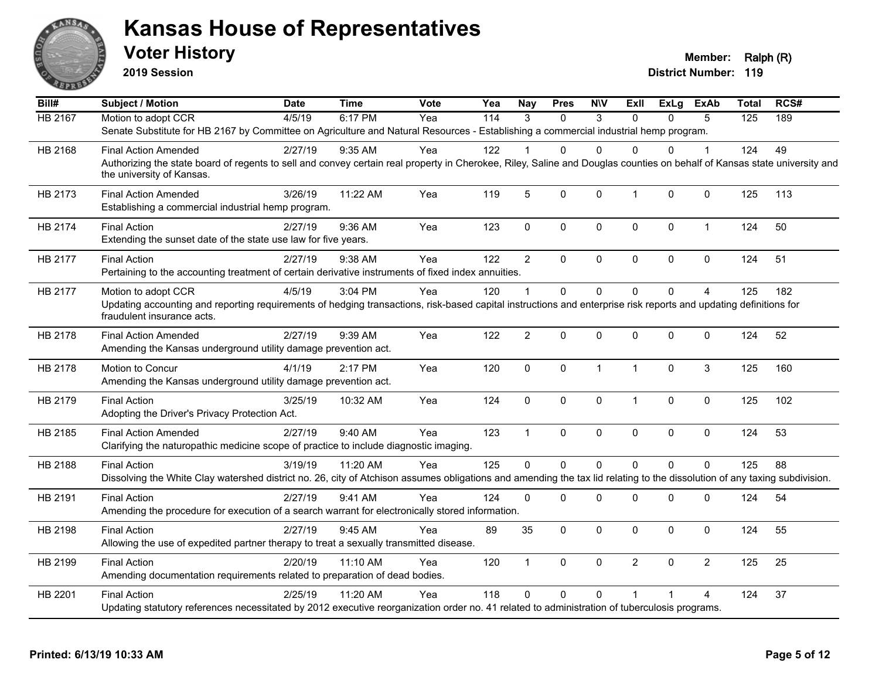

**2019 Session**

| Bill#          | <b>Subject / Motion</b>                                                                                                                                                                               | <b>Date</b> | <b>Time</b> | Vote | Yea | <b>Nay</b>     | <b>Pres</b> | <b>NIV</b>   | ExII           | ExLg         | <b>ExAb</b>    | <b>Total</b> | RCS# |
|----------------|-------------------------------------------------------------------------------------------------------------------------------------------------------------------------------------------------------|-------------|-------------|------|-----|----------------|-------------|--------------|----------------|--------------|----------------|--------------|------|
| <b>HB 2167</b> | Motion to adopt CCR                                                                                                                                                                                   | 4/5/19      | 6:17 PM     | Yea  | 114 | $\mathcal{R}$  | $\Omega$    | 3            | $\Omega$       | $\Omega$     | 5              | 125          | 189  |
|                | Senate Substitute for HB 2167 by Committee on Agriculture and Natural Resources - Establishing a commercial industrial hemp program.                                                                  |             |             |      |     |                |             |              |                |              |                |              |      |
| HB 2168        | <b>Final Action Amended</b>                                                                                                                                                                           | 2/27/19     | $9:35$ AM   | Yea  | 122 |                | 0           | $\Omega$     | $\Omega$       | $\Omega$     |                | 124          | 49   |
|                | Authorizing the state board of regents to sell and convey certain real property in Cherokee, Riley, Saline and Douglas counties on behalf of Kansas state university and<br>the university of Kansas. |             |             |      |     |                |             |              |                |              |                |              |      |
| HB 2173        | <b>Final Action Amended</b><br>Establishing a commercial industrial hemp program.                                                                                                                     | 3/26/19     | 11:22 AM    | Yea  | 119 | 5              | 0           | 0            | $\mathbf{1}$   | $\mathbf{0}$ | $\mathbf 0$    | 125          | 113  |
| HB 2174        | <b>Final Action</b><br>Extending the sunset date of the state use law for five years.                                                                                                                 | 2/27/19     | 9:36 AM     | Yea  | 123 | $\mathbf 0$    | 0           | 0            | $\mathbf 0$    | $\mathbf 0$  | $\mathbf{1}$   | 124          | 50   |
| HB 2177        | <b>Final Action</b>                                                                                                                                                                                   | 2/27/19     | 9:38 AM     | Yea  | 122 | $\overline{2}$ | $\Omega$    | 0            | $\mathbf 0$    | $\Omega$     | $\mathbf 0$    | 124          | 51   |
|                | Pertaining to the accounting treatment of certain derivative instruments of fixed index annuities.                                                                                                    |             |             |      |     |                |             |              |                |              |                |              |      |
| HB 2177        | Motion to adopt CCR                                                                                                                                                                                   | 4/5/19      | 3:04 PM     | Yea  | 120 |                | $\Omega$    | 0            | $\Omega$       | $\Omega$     | $\overline{A}$ | 125          | 182  |
|                | Updating accounting and reporting requirements of hedging transactions, risk-based capital instructions and enterprise risk reports and updating definitions for<br>fraudulent insurance acts.        |             |             |      |     |                |             |              |                |              |                |              |      |
| HB 2178        | <b>Final Action Amended</b>                                                                                                                                                                           | 2/27/19     | 9:39 AM     | Yea  | 122 | $\overline{2}$ | 0           | 0            | $\Omega$       | $\Omega$     | 0              | 124          | 52   |
|                | Amending the Kansas underground utility damage prevention act.                                                                                                                                        |             |             |      |     |                |             |              |                |              |                |              |      |
| HB 2178        | Motion to Concur                                                                                                                                                                                      | 4/1/19      | 2:17 PM     | Yea  | 120 | $\mathbf 0$    | 0           | $\mathbf{1}$ | $\mathbf{1}$   | $\Omega$     | 3              | 125          | 160  |
|                | Amending the Kansas underground utility damage prevention act.                                                                                                                                        |             |             |      |     |                |             |              |                |              |                |              |      |
| HB 2179        | <b>Final Action</b>                                                                                                                                                                                   | 3/25/19     | 10:32 AM    | Yea  | 124 | $\mathbf 0$    | 0           | 0            | $\mathbf{1}$   | $\mathbf 0$  | 0              | 125          | 102  |
|                | Adopting the Driver's Privacy Protection Act.                                                                                                                                                         |             |             |      |     |                |             |              |                |              |                |              |      |
| HB 2185        | <b>Final Action Amended</b>                                                                                                                                                                           | 2/27/19     | 9:40 AM     | Yea  | 123 | $\overline{1}$ | 0           | 0            | $\mathbf 0$    | $\mathbf 0$  | 0              | 124          | 53   |
|                | Clarifying the naturopathic medicine scope of practice to include diagnostic imaging.                                                                                                                 |             |             |      |     |                |             |              |                |              |                |              |      |
| HB 2188        | <b>Final Action</b>                                                                                                                                                                                   | 3/19/19     | 11:20 AM    | Yea  | 125 | $\Omega$       | 0           | $\mathbf 0$  | $\Omega$       | $\Omega$     | $\mathbf{0}$   | 125          | 88   |
|                | Dissolving the White Clay watershed district no. 26, city of Atchison assumes obligations and amending the tax lid relating to the dissolution of any taxing subdivision.                             |             |             |      |     |                |             |              |                |              |                |              |      |
| HB 2191        | <b>Final Action</b>                                                                                                                                                                                   | 2/27/19     | 9:41 AM     | Yea  | 124 | $\Omega$       | $\Omega$    | 0            | $\mathbf 0$    | $\Omega$     | 0              | 124          | 54   |
|                | Amending the procedure for execution of a search warrant for electronically stored information.                                                                                                       |             |             |      |     |                |             |              |                |              |                |              |      |
|                |                                                                                                                                                                                                       |             |             |      |     |                |             |              |                |              |                |              |      |
| HB 2198        | <b>Final Action</b><br>Allowing the use of expedited partner therapy to treat a sexually transmitted disease.                                                                                         | 2/27/19     | 9:45 AM     | Yea  | 89  | 35             | $\Omega$    | $\Omega$     | $\Omega$       | $\Omega$     | $\Omega$       | 124          | 55   |
|                |                                                                                                                                                                                                       |             |             |      |     |                |             |              |                |              |                |              |      |
| HB 2199        | <b>Final Action</b>                                                                                                                                                                                   | 2/20/19     | $11:10$ AM  | Yea  | 120 | $\mathbf{1}$   | 0           | 0            | $\overline{2}$ | $\Omega$     | $\overline{2}$ | 125          | 25   |
|                | Amending documentation requirements related to preparation of dead bodies.                                                                                                                            |             |             |      |     |                |             |              |                |              |                |              |      |
| HB 2201        | <b>Final Action</b>                                                                                                                                                                                   | 2/25/19     | 11:20 AM    | Yea  | 118 | $\Omega$       | $\Omega$    | $\Omega$     |                |              | 4              | 124          | 37   |
|                | Updating statutory references necessitated by 2012 executive reorganization order no. 41 related to administration of tuberculosis programs.                                                          |             |             |      |     |                |             |              |                |              |                |              |      |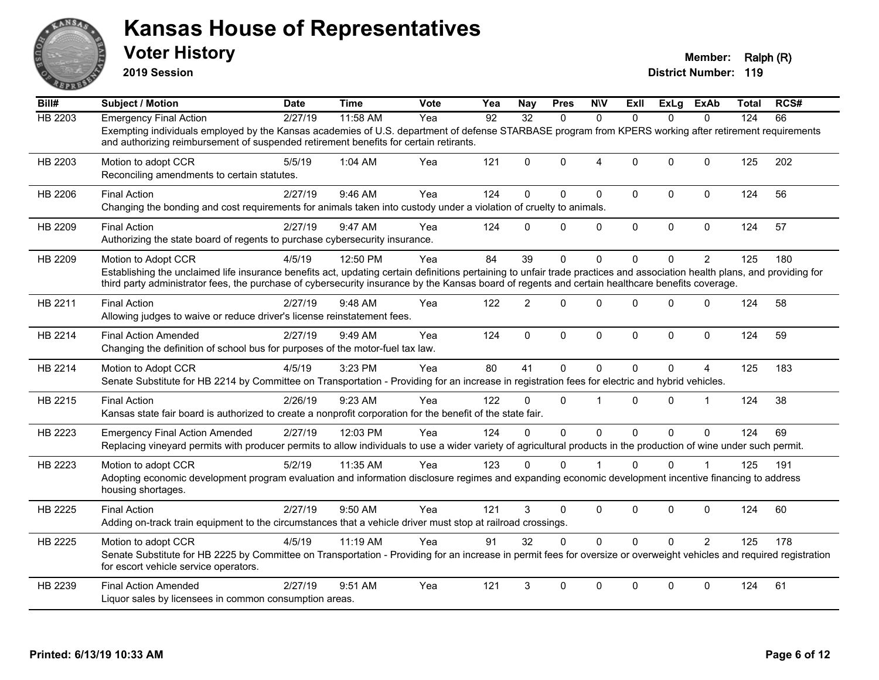

**2019 Session**

| Bill#          | Subject / Motion                                                                                                                                                                                                                                                                                                                                     | <b>Date</b> | <b>Time</b> | Vote | Yea             | <b>Nay</b>      | <b>Pres</b>  | <b>N\V</b>     | ExII         | <b>ExLg</b> | ExAb           | Total | RCS# |
|----------------|------------------------------------------------------------------------------------------------------------------------------------------------------------------------------------------------------------------------------------------------------------------------------------------------------------------------------------------------------|-------------|-------------|------|-----------------|-----------------|--------------|----------------|--------------|-------------|----------------|-------|------|
| <b>HB 2203</b> | <b>Emergency Final Action</b>                                                                                                                                                                                                                                                                                                                        | 2/27/19     | 11:58 AM    | Yea  | $\overline{92}$ | $\overline{32}$ | $\Omega$     | $\Omega$       | $\Omega$     | $\Omega$    | $\Omega$       | 124   | 66   |
|                | Exempting individuals employed by the Kansas academies of U.S. department of defense STARBASE program from KPERS working after retirement requirements<br>and authorizing reimbursement of suspended retirement benefits for certain retirants.                                                                                                      |             |             |      |                 |                 |              |                |              |             |                |       |      |
| HB 2203        | Motion to adopt CCR<br>Reconciling amendments to certain statutes.                                                                                                                                                                                                                                                                                   | 5/5/19      | 1:04 AM     | Yea  | 121             | $\Omega$        | $\Omega$     | $\overline{4}$ | $\Omega$     | $\Omega$    | $\mathbf{0}$   | 125   | 202  |
| HB 2206        | <b>Final Action</b><br>Changing the bonding and cost requirements for animals taken into custody under a violation of cruelty to animals.                                                                                                                                                                                                            | 2/27/19     | 9:46 AM     | Yea  | 124             | $\mathbf{0}$    | 0            | $\pmb{0}$      | $\mathbf 0$  | 0           | $\mathbf 0$    | 124   | 56   |
| HB 2209        | <b>Final Action</b><br>Authorizing the state board of regents to purchase cybersecurity insurance.                                                                                                                                                                                                                                                   | 2/27/19     | 9:47 AM     | Yea  | 124             | $\Omega$        | $\Omega$     | $\mathbf 0$    | $\mathbf 0$  | 0           | $\mathbf 0$    | 124   | 57   |
| HB 2209        | Motion to Adopt CCR<br>Establishing the unclaimed life insurance benefits act, updating certain definitions pertaining to unfair trade practices and association health plans, and providing for<br>third party administrator fees, the purchase of cybersecurity insurance by the Kansas board of regents and certain healthcare benefits coverage. | 4/5/19      | 12:50 PM    | Yea  | 84              | 39              | $\Omega$     | $\Omega$       | $\Omega$     | $\Omega$    | $\overline{2}$ | 125   | 180  |
| HB 2211        | <b>Final Action</b><br>Allowing judges to waive or reduce driver's license reinstatement fees.                                                                                                                                                                                                                                                       | 2/27/19     | 9:48 AM     | Yea  | 122             | $\overline{2}$  | $\Omega$     | $\Omega$       | $\Omega$     | $\Omega$    | $\Omega$       | 124   | 58   |
| HB 2214        | <b>Final Action Amended</b><br>Changing the definition of school bus for purposes of the motor-fuel tax law.                                                                                                                                                                                                                                         | 2/27/19     | 9:49 AM     | Yea  | 124             | $\Omega$        | $\mathbf{0}$ | $\mathbf{0}$   | $\mathbf{0}$ | $\Omega$    | $\mathbf{0}$   | 124   | 59   |
| HB 2214        | Motion to Adopt CCR<br>Senate Substitute for HB 2214 by Committee on Transportation - Providing for an increase in registration fees for electric and hybrid vehicles.                                                                                                                                                                               | 4/5/19      | 3:23 PM     | Yea  | 80              | 41              | $\Omega$     | $\Omega$       | $\Omega$     | $\Omega$    | 4              | 125   | 183  |
| HB 2215        | <b>Final Action</b><br>Kansas state fair board is authorized to create a nonprofit corporation for the benefit of the state fair.                                                                                                                                                                                                                    | 2/26/19     | 9:23 AM     | Yea  | 122             | 0               | $\Omega$     | $\overline{1}$ | $\Omega$     | $\Omega$    | $\mathbf 1$    | 124   | 38   |
| HB 2223        | <b>Emergency Final Action Amended</b><br>Replacing vineyard permits with producer permits to allow individuals to use a wider variety of agricultural products in the production of wine under such permit.                                                                                                                                          | 2/27/19     | 12:03 PM    | Yea  | 124             | $\Omega$        | $\Omega$     | $\Omega$       | $\Omega$     | $\Omega$    | $\Omega$       | 124   | 69   |
| HB 2223        | Motion to adopt CCR<br>Adopting economic development program evaluation and information disclosure regimes and expanding economic development incentive financing to address<br>housing shortages.                                                                                                                                                   | 5/2/19      | 11:35 AM    | Yea  | 123             | 0               | $\Omega$     |                | $\Omega$     | $\Omega$    | 1              | 125   | 191  |
| HB 2225        | <b>Final Action</b><br>Adding on-track train equipment to the circumstances that a vehicle driver must stop at railroad crossings.                                                                                                                                                                                                                   | 2/27/19     | 9:50 AM     | Yea  | 121             | 3               | $\Omega$     | $\mathbf 0$    | $\Omega$     | $\Omega$    | $\mathbf 0$    | 124   | 60   |
| HB 2225        | Motion to adopt CCR<br>Senate Substitute for HB 2225 by Committee on Transportation - Providing for an increase in permit fees for oversize or overweight vehicles and required registration<br>for escort vehicle service operators.                                                                                                                | 4/5/19      | 11:19 AM    | Yea  | 91              | 32              | $\Omega$     | $\mathbf 0$    | $\Omega$     | $\Omega$    | $\overline{2}$ | 125   | 178  |
| HB 2239        | <b>Final Action Amended</b><br>Liquor sales by licensees in common consumption areas.                                                                                                                                                                                                                                                                | 2/27/19     | 9:51 AM     | Yea  | 121             | 3               | 0            | $\Omega$       | $\Omega$     | $\Omega$    | $\Omega$       | 124   | 61   |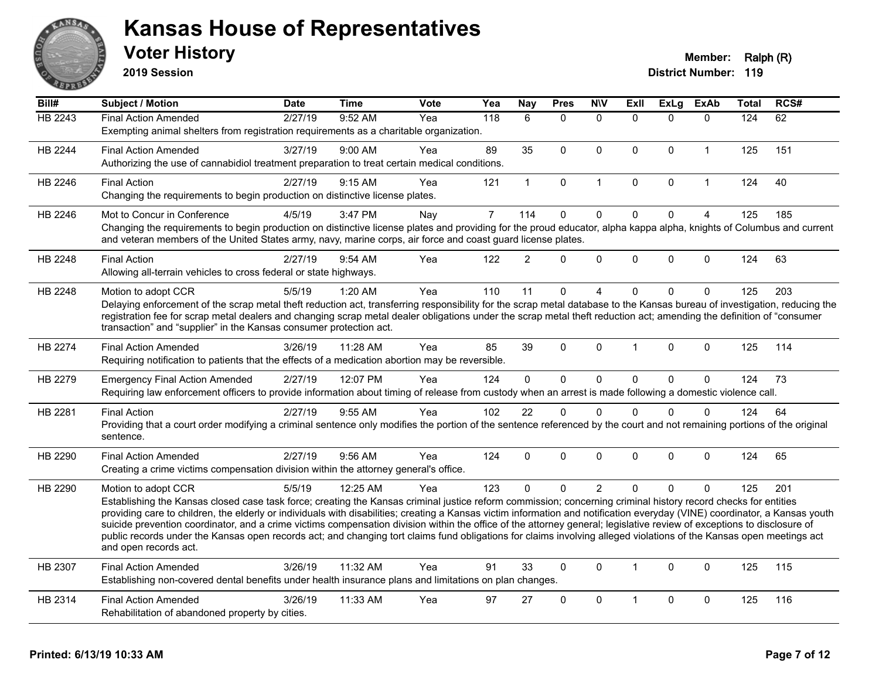

**2019 Session**

| Bill#   | <b>Subject / Motion</b>                                                                                                                                                                                                                                                                                                                               | <b>Date</b> | Time      | Vote | Yea            | Nay            | <b>Pres</b>  | <b>N\V</b>     | <b>Exll</b>    | <b>ExLg</b>  | <b>ExAb</b>    | <b>Total</b> | RCS# |
|---------|-------------------------------------------------------------------------------------------------------------------------------------------------------------------------------------------------------------------------------------------------------------------------------------------------------------------------------------------------------|-------------|-----------|------|----------------|----------------|--------------|----------------|----------------|--------------|----------------|--------------|------|
| HB 2243 | <b>Final Action Amended</b>                                                                                                                                                                                                                                                                                                                           | 2/27/19     | 9:52 AM   | Yea  | 118            | 6              | $\mathbf{0}$ | $\mathbf{0}$   | $\Omega$       | $\Omega$     | $\mathbf{0}$   | 124          | 62   |
|         | Exempting animal shelters from registration requirements as a charitable organization.                                                                                                                                                                                                                                                                |             |           |      |                |                |              |                |                |              |                |              |      |
| HB 2244 | <b>Final Action Amended</b>                                                                                                                                                                                                                                                                                                                           | 3/27/19     | $9:00$ AM | Yea  | 89             | 35             | $\mathbf{0}$ | $\Omega$       | $\Omega$       | $\mathbf{0}$ | $\mathbf 1$    | 125          | 151  |
|         | Authorizing the use of cannabidiol treatment preparation to treat certain medical conditions.                                                                                                                                                                                                                                                         |             |           |      |                |                |              |                |                |              |                |              |      |
| HB 2246 | <b>Final Action</b>                                                                                                                                                                                                                                                                                                                                   | 2/27/19     | 9:15 AM   | Yea  | 121            | $\mathbf{1}$   | $\mathbf 0$  | $\mathbf{1}$   | $\mathbf 0$    | 0            | $\mathbf{1}$   | 124          | 40   |
|         | Changing the requirements to begin production on distinctive license plates.                                                                                                                                                                                                                                                                          |             |           |      |                |                |              |                |                |              |                |              |      |
| HB 2246 | Mot to Concur in Conference                                                                                                                                                                                                                                                                                                                           | 4/5/19      | 3:47 PM   | Nay  | $\overline{7}$ | 114            | $\mathbf 0$  | $\mathbf 0$    | $\mathbf{0}$   | $\mathbf 0$  | $\overline{4}$ | 125          | 185  |
|         | Changing the requirements to begin production on distinctive license plates and providing for the proud educator, alpha kappa alpha, knights of Columbus and current<br>and veteran members of the United States army, navy, marine corps, air force and coast guard license plates.                                                                  |             |           |      |                |                |              |                |                |              |                |              |      |
| HB 2248 | <b>Final Action</b>                                                                                                                                                                                                                                                                                                                                   | 2/27/19     | 9:54 AM   | Yea  | 122            | $\overline{2}$ | $\Omega$     | $\mathbf 0$    | $\Omega$       | $\mathbf{0}$ | $\Omega$       | 124          | 63   |
|         | Allowing all-terrain vehicles to cross federal or state highways.                                                                                                                                                                                                                                                                                     |             |           |      |                |                |              |                |                |              |                |              |      |
| HB 2248 | Motion to adopt CCR                                                                                                                                                                                                                                                                                                                                   | 5/5/19      | 1:20 AM   | Yea  | 110            | 11             | $\mathbf 0$  | 4              | $\overline{0}$ | $\mathbf 0$  | 0              | 125          | 203  |
|         | Delaying enforcement of the scrap metal theft reduction act, transferring responsibility for the scrap metal database to the Kansas bureau of investigation, reducing the                                                                                                                                                                             |             |           |      |                |                |              |                |                |              |                |              |      |
|         | registration fee for scrap metal dealers and changing scrap metal dealer obligations under the scrap metal theft reduction act; amending the definition of "consumer<br>transaction" and "supplier" in the Kansas consumer protection act.                                                                                                            |             |           |      |                |                |              |                |                |              |                |              |      |
|         |                                                                                                                                                                                                                                                                                                                                                       |             |           |      |                |                |              |                |                |              |                |              |      |
| HB 2274 | <b>Final Action Amended</b>                                                                                                                                                                                                                                                                                                                           | 3/26/19     | 11:28 AM  | Yea  | 85             | 39             | $\mathbf{0}$ | $\Omega$       |                | $\mathbf{0}$ | $\Omega$       | 125          | 114  |
|         | Requiring notification to patients that the effects of a medication abortion may be reversible.                                                                                                                                                                                                                                                       |             |           |      |                |                |              |                |                |              |                |              |      |
| HB 2279 | <b>Emergency Final Action Amended</b>                                                                                                                                                                                                                                                                                                                 | 2/27/19     | 12:07 PM  | Yea  | 124            | $\mathbf 0$    | $\mathbf 0$  | $\mathbf 0$    | $\Omega$       | $\pmb{0}$    | 0              | 124          | 73   |
|         | Requiring law enforcement officers to provide information about timing of release from custody when an arrest is made following a domestic violence call.                                                                                                                                                                                             |             |           |      |                |                |              |                |                |              |                |              |      |
| HB 2281 | <b>Final Action</b>                                                                                                                                                                                                                                                                                                                                   | 2/27/19     | 9:55 AM   | Yea  | 102            | 22             | $\mathbf 0$  | $\Omega$       | 0              | $\mathbf{0}$ | $\mathbf 0$    | 124          | 64   |
|         | Providing that a court order modifying a criminal sentence only modifies the portion of the sentence referenced by the court and not remaining portions of the original                                                                                                                                                                               |             |           |      |                |                |              |                |                |              |                |              |      |
|         | sentence.                                                                                                                                                                                                                                                                                                                                             |             |           |      |                |                |              |                |                |              |                |              |      |
| HB 2290 | <b>Final Action Amended</b>                                                                                                                                                                                                                                                                                                                           | 2/27/19     | 9:56 AM   | Yea  | 124            | $\Omega$       | $\mathbf{0}$ | $\Omega$       | $\Omega$       | $\mathbf{0}$ | $\Omega$       | 124          | 65   |
|         | Creating a crime victims compensation division within the attorney general's office.                                                                                                                                                                                                                                                                  |             |           |      |                |                |              |                |                |              |                |              |      |
| HB 2290 | Motion to adopt CCR                                                                                                                                                                                                                                                                                                                                   | 5/5/19      | 12:25 AM  | Yea  | 123            | $\Omega$       | $\Omega$     | $\overline{2}$ | $\Omega$       | $\Omega$     | $\Omega$       | 125          | 201  |
|         | Establishing the Kansas closed case task force; creating the Kansas criminal justice reform commission; concerning criminal history record checks for entities                                                                                                                                                                                        |             |           |      |                |                |              |                |                |              |                |              |      |
|         | providing care to children, the elderly or individuals with disabilities; creating a Kansas victim information and notification everyday (VINE) coordinator, a Kansas youth<br>suicide prevention coordinator, and a crime victims compensation division within the office of the attorney general; legislative review of exceptions to disclosure of |             |           |      |                |                |              |                |                |              |                |              |      |
|         | public records under the Kansas open records act; and changing tort claims fund obligations for claims involving alleged violations of the Kansas open meetings act                                                                                                                                                                                   |             |           |      |                |                |              |                |                |              |                |              |      |
|         | and open records act.                                                                                                                                                                                                                                                                                                                                 |             |           |      |                |                |              |                |                |              |                |              |      |
| HB 2307 | <b>Final Action Amended</b>                                                                                                                                                                                                                                                                                                                           | 3/26/19     | 11:32 AM  | Yea  | 91             | 33             | $\mathbf{0}$ | $\Omega$       | 1              | $\mathbf{0}$ | $\Omega$       | 125          | 115  |
|         | Establishing non-covered dental benefits under health insurance plans and limitations on plan changes.                                                                                                                                                                                                                                                |             |           |      |                |                |              |                |                |              |                |              |      |
| HB 2314 | <b>Final Action Amended</b>                                                                                                                                                                                                                                                                                                                           | 3/26/19     | 11:33 AM  | Yea  | 97             | 27             | $\Omega$     | $\Omega$       |                | $\mathbf{0}$ | $\Omega$       | 125          | 116  |
|         | Rehabilitation of abandoned property by cities.                                                                                                                                                                                                                                                                                                       |             |           |      |                |                |              |                |                |              |                |              |      |
|         |                                                                                                                                                                                                                                                                                                                                                       |             |           |      |                |                |              |                |                |              |                |              |      |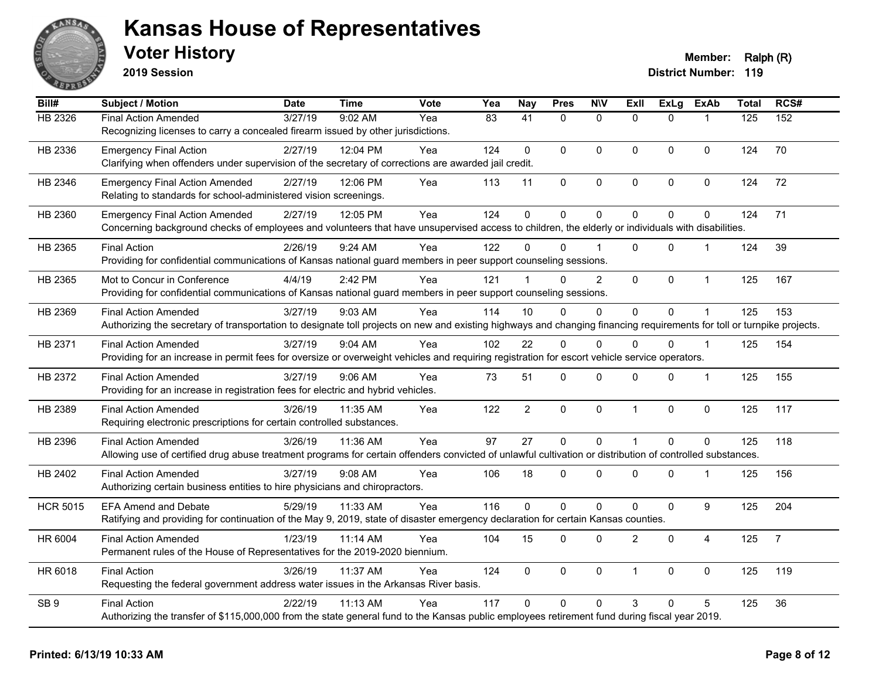

**2019 Session**

| Bill#           | Subject / Motion                                                                                                                                                       | <b>Date</b> | <b>Time</b> | <b>Vote</b> | Yea | <b>Nay</b>      | <b>Pres</b>    | <b>NIV</b>     | <b>Exll</b>    | <b>ExLg</b>    | <b>ExAb</b>    | <b>Total</b> | RCS#           |
|-----------------|------------------------------------------------------------------------------------------------------------------------------------------------------------------------|-------------|-------------|-------------|-----|-----------------|----------------|----------------|----------------|----------------|----------------|--------------|----------------|
| HB 2326         | <b>Final Action Amended</b>                                                                                                                                            | 3/27/19     | 9:02 AM     | Yea         | 83  | $\overline{41}$ | $\mathbf{0}$   | $\mathbf{0}$   | $\Omega$       | $\Omega$       | $\mathbf{1}$   | 125          | 152            |
|                 | Recognizing licenses to carry a concealed firearm issued by other jurisdictions.                                                                                       |             |             |             |     |                 |                |                |                |                |                |              |                |
| HB 2336         | <b>Emergency Final Action</b>                                                                                                                                          | 2/27/19     | 12:04 PM    | Yea         | 124 | $\Omega$        | $\Omega$       | $\mathbf{0}$   | $\overline{0}$ | $\Omega$       | $\mathbf 0$    | 124          | 70             |
|                 | Clarifying when offenders under supervision of the secretary of corrections are awarded jail credit.                                                                   |             |             |             |     |                 |                |                |                |                |                |              |                |
| HB 2346         | <b>Emergency Final Action Amended</b>                                                                                                                                  | 2/27/19     | 12:06 PM    | Yea         | 113 | 11              | 0              | $\pmb{0}$      | 0              | 0              | $\mathbf 0$    | 124          | 72             |
|                 | Relating to standards for school-administered vision screenings.                                                                                                       |             |             |             |     |                 |                |                |                |                |                |              |                |
| HB 2360         | <b>Emergency Final Action Amended</b>                                                                                                                                  | 2/27/19     | 12:05 PM    | Yea         | 124 | $\mathbf 0$     | $\mathbf 0$    | $\mathbf 0$    | 0              | 0              | $\pmb{0}$      | 124          | 71             |
|                 | Concerning background checks of employees and volunteers that have unsupervised access to children, the elderly or individuals with disabilities.                      |             |             |             |     |                 |                |                |                |                |                |              |                |
| HB 2365         | <b>Final Action</b>                                                                                                                                                    | 2/26/19     | 9:24 AM     | Yea         | 122 | 0               | $\Omega$       |                | 0              | $\Omega$       | 1              | 124          | 39             |
|                 | Providing for confidential communications of Kansas national guard members in peer support counseling sessions.                                                        |             |             |             |     |                 |                |                |                |                |                |              |                |
| HB 2365         | Mot to Concur in Conference                                                                                                                                            | 4/4/19      | 2:42 PM     | Yea         | 121 |                 | $\Omega$       | $\overline{2}$ | $\overline{0}$ | $\Omega$       | $\mathbf{1}$   | 125          | 167            |
|                 | Providing for confidential communications of Kansas national guard members in peer support counseling sessions.                                                        |             |             |             |     |                 |                |                |                |                |                |              |                |
| HB 2369         | <b>Final Action Amended</b>                                                                                                                                            | 3/27/19     | 9:03 AM     | Yea         | 114 | 10              | $\Omega$       | $\Omega$       | $\overline{0}$ | $\Omega$       |                | 125          | 153            |
|                 | Authorizing the secretary of transportation to designate toll projects on new and existing highways and changing financing requirements for toll or turnpike projects. |             |             |             |     |                 |                |                |                |                |                |              |                |
| HB 2371         | <b>Final Action Amended</b>                                                                                                                                            | 3/27/19     | 9:04 AM     | Yea         | 102 | 22              | $\Omega$       | $\mathbf{0}$   | $\Omega$       | $\Omega$       | $\mathbf{1}$   | 125          | 154            |
|                 | Providing for an increase in permit fees for oversize or overweight vehicles and requiring registration for escort vehicle service operators.                          |             |             |             |     |                 |                |                |                |                |                |              |                |
| HB 2372         | <b>Final Action Amended</b>                                                                                                                                            | 3/27/19     | $9:06$ AM   | Yea         | 73  | 51              | 0              | $\mathbf 0$    | $\Omega$       | 0              | $\mathbf 1$    | 125          | 155            |
|                 | Providing for an increase in registration fees for electric and hybrid vehicles.                                                                                       |             |             |             |     |                 |                |                |                |                |                |              |                |
| HB 2389         | <b>Final Action Amended</b>                                                                                                                                            | 3/26/19     | 11:35 AM    | Yea         | 122 | $\overline{2}$  | 0              | $\mathbf 0$    | $\mathbf{1}$   | 0              | $\mathbf 0$    | 125          | 117            |
|                 | Requiring electronic prescriptions for certain controlled substances.                                                                                                  |             |             |             |     |                 |                |                |                |                |                |              |                |
| HB 2396         | <b>Final Action Amended</b>                                                                                                                                            | 3/26/19     | 11:36 AM    | Yea         | 97  | 27              | $\overline{0}$ | $\mathbf 0$    | $\mathbf{1}$   | $\overline{0}$ | $\mathbf 0$    | 125          | 118            |
|                 | Allowing use of certified drug abuse treatment programs for certain offenders convicted of unlawful cultivation or distribution of controlled substances.              |             |             |             |     |                 |                |                |                |                |                |              |                |
| HB 2402         | <b>Final Action Amended</b>                                                                                                                                            | 3/27/19     | $9:08$ AM   | Yea         | 106 | 18              | 0              | $\mathbf 0$    | $\Omega$       | $\Omega$       | $\mathbf 1$    | 125          | 156            |
|                 | Authorizing certain business entities to hire physicians and chiropractors.                                                                                            |             |             |             |     |                 |                |                |                |                |                |              |                |
| <b>HCR 5015</b> | <b>EFA Amend and Debate</b>                                                                                                                                            | 5/29/19     | 11:33 AM    | Yea         | 116 | 0               | $\mathbf 0$    | $\mathbf 0$    | 0              | 0              | 9              | 125          | 204            |
|                 | Ratifying and providing for continuation of the May 9, 2019, state of disaster emergency declaration for certain Kansas counties.                                      |             |             |             |     |                 |                |                |                |                |                |              |                |
| HR 6004         | <b>Final Action Amended</b>                                                                                                                                            | 1/23/19     | 11:14 AM    | Yea         | 104 | 15              | $\mathbf 0$    | $\mathbf{0}$   | $\overline{c}$ | $\mathbf 0$    | $\overline{4}$ | 125          | $\overline{7}$ |
|                 | Permanent rules of the House of Representatives for the 2019-2020 biennium.                                                                                            |             |             |             |     |                 |                |                |                |                |                |              |                |
| HR 6018         | <b>Final Action</b>                                                                                                                                                    | 3/26/19     | 11:37 AM    | Yea         | 124 | 0               | $\Omega$       | $\mathbf 0$    | $\mathbf{1}$   | $\Omega$       | $\mathbf 0$    | 125          | 119            |
|                 | Requesting the federal government address water issues in the Arkansas River basis.                                                                                    |             |             |             |     |                 |                |                |                |                |                |              |                |
| SB <sub>9</sub> | <b>Final Action</b>                                                                                                                                                    | 2/22/19     | 11:13 AM    | Yea         | 117 | $\Omega$        | $\Omega$       | $\mathbf{0}$   | 3              | $\Omega$       | 5              | 125          | 36             |
|                 | Authorizing the transfer of \$115,000,000 from the state general fund to the Kansas public employees retirement fund during fiscal year 2019.                          |             |             |             |     |                 |                |                |                |                |                |              |                |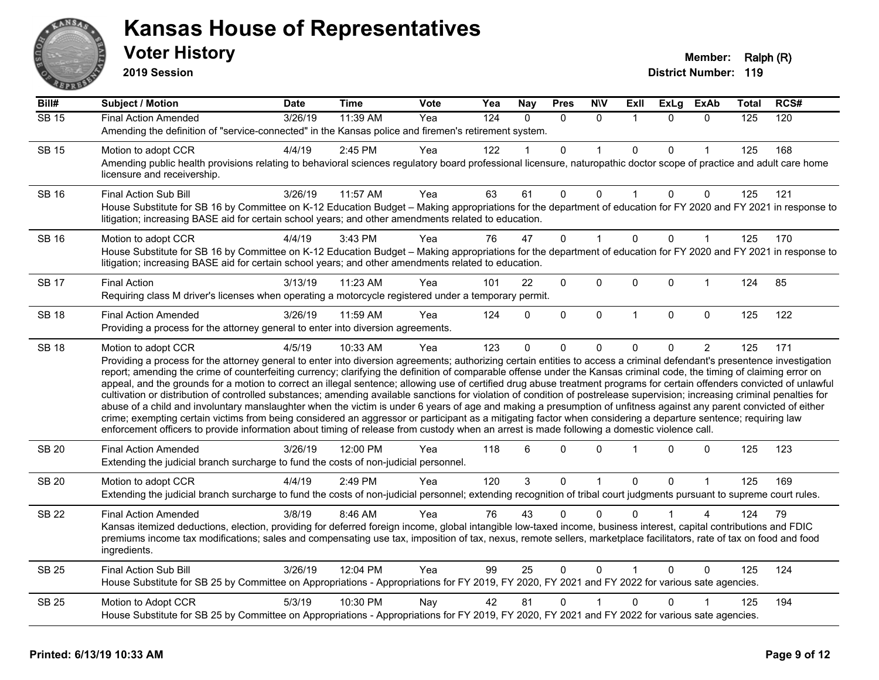

**2019 Session**

| Bill#        | <b>Subject / Motion</b>                                                                                                                                                                                                                                                                                                                                                                                                                                                                                                                                                                                                                                                                                                                                                                                                                                                                                                                                                                                                                                                                                                                                                                              | <b>Date</b> | Time     | Vote | Yea              | <b>Nay</b>   | <b>Pres</b>  | <b>NIV</b>  | ExII                 | <b>ExLg</b>  | <b>ExAb</b>    | <b>Total</b>     | RCS# |
|--------------|------------------------------------------------------------------------------------------------------------------------------------------------------------------------------------------------------------------------------------------------------------------------------------------------------------------------------------------------------------------------------------------------------------------------------------------------------------------------------------------------------------------------------------------------------------------------------------------------------------------------------------------------------------------------------------------------------------------------------------------------------------------------------------------------------------------------------------------------------------------------------------------------------------------------------------------------------------------------------------------------------------------------------------------------------------------------------------------------------------------------------------------------------------------------------------------------------|-------------|----------|------|------------------|--------------|--------------|-------------|----------------------|--------------|----------------|------------------|------|
| <b>SB 15</b> | <b>Final Action Amended</b>                                                                                                                                                                                                                                                                                                                                                                                                                                                                                                                                                                                                                                                                                                                                                                                                                                                                                                                                                                                                                                                                                                                                                                          | 3/26/19     | 11:39 AM | Yea  | $\overline{124}$ | $\Omega$     | $\Omega$     | $\Omega$    | $\blacktriangleleft$ | $\Omega$     | $\Omega$       | $\overline{125}$ | 120  |
|              | Amending the definition of "service-connected" in the Kansas police and firemen's retirement system.                                                                                                                                                                                                                                                                                                                                                                                                                                                                                                                                                                                                                                                                                                                                                                                                                                                                                                                                                                                                                                                                                                 |             |          |      |                  |              |              |             |                      |              |                |                  |      |
| <b>SB 15</b> | Motion to adopt CCR                                                                                                                                                                                                                                                                                                                                                                                                                                                                                                                                                                                                                                                                                                                                                                                                                                                                                                                                                                                                                                                                                                                                                                                  | 4/4/19      | 2:45 PM  | Yea  | 122              |              | 0            |             | 0                    | $\Omega$     |                | 125              | 168  |
|              | Amending public health provisions relating to behavioral sciences regulatory board professional licensure, naturopathic doctor scope of practice and adult care home<br>licensure and receivership.                                                                                                                                                                                                                                                                                                                                                                                                                                                                                                                                                                                                                                                                                                                                                                                                                                                                                                                                                                                                  |             |          |      |                  |              |              |             |                      |              |                |                  |      |
| <b>SB 16</b> | Final Action Sub Bill                                                                                                                                                                                                                                                                                                                                                                                                                                                                                                                                                                                                                                                                                                                                                                                                                                                                                                                                                                                                                                                                                                                                                                                | 3/26/19     | 11:57 AM | Yea  | 63               | 61           | $\Omega$     | $\Omega$    | $\mathbf{1}$         | $\Omega$     | $\mathbf{0}$   | 125              | 121  |
|              | House Substitute for SB 16 by Committee on K-12 Education Budget - Making appropriations for the department of education for FY 2020 and FY 2021 in response to<br>litigation; increasing BASE aid for certain school years; and other amendments related to education.                                                                                                                                                                                                                                                                                                                                                                                                                                                                                                                                                                                                                                                                                                                                                                                                                                                                                                                              |             |          |      |                  |              |              |             |                      |              |                |                  |      |
| <b>SB 16</b> | Motion to adopt CCR                                                                                                                                                                                                                                                                                                                                                                                                                                                                                                                                                                                                                                                                                                                                                                                                                                                                                                                                                                                                                                                                                                                                                                                  | 4/4/19      | 3:43 PM  | Yea  | 76               | 47           | $\Omega$     |             | $\mathbf 0$          | 0            | $\mathbf{1}$   | 125              | 170  |
|              | House Substitute for SB 16 by Committee on K-12 Education Budget - Making appropriations for the department of education for FY 2020 and FY 2021 in response to<br>litigation; increasing BASE aid for certain school years; and other amendments related to education.                                                                                                                                                                                                                                                                                                                                                                                                                                                                                                                                                                                                                                                                                                                                                                                                                                                                                                                              |             |          |      |                  |              |              |             |                      |              |                |                  |      |
| <b>SB 17</b> | <b>Final Action</b>                                                                                                                                                                                                                                                                                                                                                                                                                                                                                                                                                                                                                                                                                                                                                                                                                                                                                                                                                                                                                                                                                                                                                                                  | 3/13/19     | 11:23 AM | Yea  | 101              | 22           | $\mathbf 0$  | $\Omega$    | $\Omega$             | $\mathbf{0}$ | $\mathbf{1}$   | 124              | 85   |
|              | Requiring class M driver's licenses when operating a motorcycle registered under a temporary permit.                                                                                                                                                                                                                                                                                                                                                                                                                                                                                                                                                                                                                                                                                                                                                                                                                                                                                                                                                                                                                                                                                                 |             |          |      |                  |              |              |             |                      |              |                |                  |      |
| <b>SB 18</b> | <b>Final Action Amended</b>                                                                                                                                                                                                                                                                                                                                                                                                                                                                                                                                                                                                                                                                                                                                                                                                                                                                                                                                                                                                                                                                                                                                                                          | 3/26/19     | 11:59 AM | Yea  | 124              | $\Omega$     | $\Omega$     | $\mathbf 0$ | $\mathbf{1}$         | $\mathbf{0}$ | $\mathbf{0}$   | 125              | 122  |
|              | Providing a process for the attorney general to enter into diversion agreements.                                                                                                                                                                                                                                                                                                                                                                                                                                                                                                                                                                                                                                                                                                                                                                                                                                                                                                                                                                                                                                                                                                                     |             |          |      |                  |              |              |             |                      |              |                |                  |      |
| <b>SB 18</b> | Motion to adopt CCR                                                                                                                                                                                                                                                                                                                                                                                                                                                                                                                                                                                                                                                                                                                                                                                                                                                                                                                                                                                                                                                                                                                                                                                  | 4/5/19      | 10:33 AM | Yea  | 123              | $\mathbf{0}$ | $\Omega$     | $\mathbf 0$ | $\Omega$             | $\Omega$     | $\overline{2}$ | 125              | 171  |
|              | Providing a process for the attorney general to enter into diversion agreements; authorizing certain entities to access a criminal defendant's presentence investigation<br>report; amending the crime of counterfeiting currency; clarifying the definition of comparable offense under the Kansas criminal code, the timing of claiming error on<br>appeal, and the grounds for a motion to correct an illegal sentence; allowing use of certified drug abuse treatment programs for certain offenders convicted of unlawful<br>cultivation or distribution of controlled substances; amending available sanctions for violation of condition of postrelease supervision; increasing criminal penalties for<br>abuse of a child and involuntary manslaughter when the victim is under 6 years of age and making a presumption of unfitness against any parent convicted of either<br>crime; exempting certain victims from being considered an aggressor or participant as a mitigating factor when considering a departure sentence; requiring law<br>enforcement officers to provide information about timing of release from custody when an arrest is made following a domestic violence call. |             |          |      |                  |              |              |             |                      |              |                |                  |      |
| <b>SB 20</b> | <b>Final Action Amended</b><br>Extending the judicial branch surcharge to fund the costs of non-judicial personnel.                                                                                                                                                                                                                                                                                                                                                                                                                                                                                                                                                                                                                                                                                                                                                                                                                                                                                                                                                                                                                                                                                  | 3/26/19     | 12:00 PM | Yea  | 118              | 6            | 0            | $\mathbf 0$ |                      | $\Omega$     | $\mathbf{0}$   | 125              | 123  |
| <b>SB 20</b> | Motion to adopt CCR                                                                                                                                                                                                                                                                                                                                                                                                                                                                                                                                                                                                                                                                                                                                                                                                                                                                                                                                                                                                                                                                                                                                                                                  | 4/4/19      | 2:49 PM  | Yea  | 120              | 3            | $\mathbf 0$  | 1           | $\mathbf 0$          | $\Omega$     | $\mathbf{1}$   | 125              | 169  |
|              | Extending the judicial branch surcharge to fund the costs of non-judicial personnel; extending recognition of tribal court judgments pursuant to supreme court rules.                                                                                                                                                                                                                                                                                                                                                                                                                                                                                                                                                                                                                                                                                                                                                                                                                                                                                                                                                                                                                                |             |          |      |                  |              |              |             |                      |              |                |                  |      |
| SB 22        | <b>Final Action Amended</b>                                                                                                                                                                                                                                                                                                                                                                                                                                                                                                                                                                                                                                                                                                                                                                                                                                                                                                                                                                                                                                                                                                                                                                          | 3/8/19      | 8:46 AM  | Yea  | 76               | 43           | 0            | 0           | <sup>0</sup>         |              |                | 124              | 79   |
|              | Kansas itemized deductions, election, providing for deferred foreign income, global intangible low-taxed income, business interest, capital contributions and FDIC<br>premiums income tax modifications; sales and compensating use tax, imposition of tax, nexus, remote sellers, marketplace facilitators, rate of tax on food and food<br>ingredients.                                                                                                                                                                                                                                                                                                                                                                                                                                                                                                                                                                                                                                                                                                                                                                                                                                            |             |          |      |                  |              |              |             |                      |              |                |                  |      |
| <b>SB 25</b> | <b>Final Action Sub Bill</b>                                                                                                                                                                                                                                                                                                                                                                                                                                                                                                                                                                                                                                                                                                                                                                                                                                                                                                                                                                                                                                                                                                                                                                         | 3/26/19     | 12:04 PM | Yea  | 99               | 25           | $\mathbf{0}$ | $\mathbf 0$ | $\mathbf 1$          | $\Omega$     | $\Omega$       | 125              | 124  |
|              | House Substitute for SB 25 by Committee on Appropriations - Appropriations for FY 2019, FY 2020, FY 2021 and FY 2022 for various sate agencies.                                                                                                                                                                                                                                                                                                                                                                                                                                                                                                                                                                                                                                                                                                                                                                                                                                                                                                                                                                                                                                                      |             |          |      |                  |              |              |             |                      |              |                |                  |      |
| <b>SB 25</b> | Motion to Adopt CCR                                                                                                                                                                                                                                                                                                                                                                                                                                                                                                                                                                                                                                                                                                                                                                                                                                                                                                                                                                                                                                                                                                                                                                                  | 5/3/19      | 10:30 PM | Nay  | 42               | 81           | 0            |             | $\Omega$             | $\Omega$     |                | 125              | 194  |
|              | House Substitute for SB 25 by Committee on Appropriations - Appropriations for FY 2019, FY 2020, FY 2021 and FY 2022 for various sate agencies.                                                                                                                                                                                                                                                                                                                                                                                                                                                                                                                                                                                                                                                                                                                                                                                                                                                                                                                                                                                                                                                      |             |          |      |                  |              |              |             |                      |              |                |                  |      |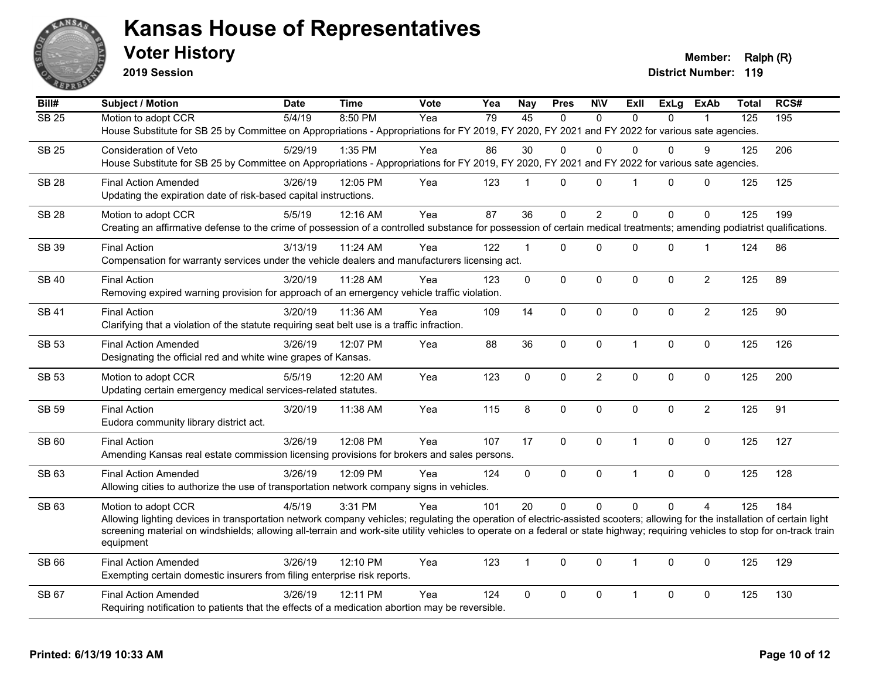

**2019 Session**

**Voter History Member: Ralph (R)** 

| Bill#            | Subject / Motion                                                                                                                                                                                                                                                                                                                                               | <b>Date</b> | <b>Time</b> | Vote | Yea | <b>Nay</b>     | <b>Pres</b>  | <b>NIV</b>     | <b>ExII</b>    | <b>ExLg</b>  | <b>ExAb</b>    | Total | RCS# |
|------------------|----------------------------------------------------------------------------------------------------------------------------------------------------------------------------------------------------------------------------------------------------------------------------------------------------------------------------------------------------------------|-------------|-------------|------|-----|----------------|--------------|----------------|----------------|--------------|----------------|-------|------|
| SB <sub>25</sub> | Motion to adopt CCR                                                                                                                                                                                                                                                                                                                                            | 5/4/19      | 8:50 PM     | Yea  | 79  | 45             | $\mathbf{0}$ | $\mathbf{0}$   | $\Omega$       | $\Omega$     |                | 125   | 195  |
|                  | House Substitute for SB 25 by Committee on Appropriations - Appropriations for FY 2019, FY 2020, FY 2021 and FY 2022 for various sate agencies.                                                                                                                                                                                                                |             |             |      |     |                |              |                |                |              |                |       |      |
| <b>SB 25</b>     | Consideration of Veto                                                                                                                                                                                                                                                                                                                                          | 5/29/19     | 1:35 PM     | Yea  | 86  | 30             | 0            | $\mathbf 0$    | $\mathbf{0}$   | $\mathbf{0}$ | 9              | 125   | 206  |
|                  | House Substitute for SB 25 by Committee on Appropriations - Appropriations for FY 2019, FY 2020, FY 2021 and FY 2022 for various sate agencies.                                                                                                                                                                                                                |             |             |      |     |                |              |                |                |              |                |       |      |
| <b>SB 28</b>     | <b>Final Action Amended</b>                                                                                                                                                                                                                                                                                                                                    | 3/26/19     | 12:05 PM    | Yea  | 123 | $\mathbf 1$    | $\Omega$     | $\mathbf 0$    | $\overline{1}$ | $\mathbf{0}$ | $\mathbf 0$    | 125   | 125  |
|                  | Updating the expiration date of risk-based capital instructions.                                                                                                                                                                                                                                                                                               |             |             |      |     |                |              |                |                |              |                |       |      |
| <b>SB 28</b>     | Motion to adopt CCR                                                                                                                                                                                                                                                                                                                                            | 5/5/19      | 12:16 AM    | Yea  | 87  | 36             | 0            | $\overline{2}$ | $\Omega$       | $\mathbf{0}$ | $\mathbf 0$    | 125   | 199  |
|                  | Creating an affirmative defense to the crime of possession of a controlled substance for possession of certain medical treatments; amending podiatrist qualifications.                                                                                                                                                                                         |             |             |      |     |                |              |                |                |              |                |       |      |
| SB 39            | <b>Final Action</b>                                                                                                                                                                                                                                                                                                                                            | 3/13/19     | 11:24 AM    | Yea  | 122 | $\mathbf{1}$   | $\Omega$     | $\pmb{0}$      | $\Omega$       | 0            | 1              | 124   | 86   |
|                  | Compensation for warranty services under the vehicle dealers and manufacturers licensing act.                                                                                                                                                                                                                                                                  |             |             |      |     |                |              |                |                |              |                |       |      |
| <b>SB40</b>      | <b>Final Action</b>                                                                                                                                                                                                                                                                                                                                            | 3/20/19     | 11:28 AM    | Yea  | 123 | 0              | $\mathbf 0$  | $\pmb{0}$      | 0              | 0            | $\overline{c}$ | 125   | 89   |
|                  | Removing expired warning provision for approach of an emergency vehicle traffic violation.                                                                                                                                                                                                                                                                     |             |             |      |     |                |              |                |                |              |                |       |      |
| <b>SB 41</b>     | <b>Final Action</b>                                                                                                                                                                                                                                                                                                                                            | 3/20/19     | 11:36 AM    | Yea  | 109 | 14             | $\mathbf{0}$ | $\mathbf 0$    | $\Omega$       | $\Omega$     | $\overline{2}$ | 125   | 90   |
|                  | Clarifying that a violation of the statute requiring seat belt use is a traffic infraction.                                                                                                                                                                                                                                                                    |             |             |      |     |                |              |                |                |              |                |       |      |
| <b>SB 53</b>     | <b>Final Action Amended</b>                                                                                                                                                                                                                                                                                                                                    | 3/26/19     | 12:07 PM    | Yea  | 88  | 36             | 0            | $\pmb{0}$      | $\mathbf{1}$   | 0            | $\mathbf 0$    | 125   | 126  |
|                  | Designating the official red and white wine grapes of Kansas.                                                                                                                                                                                                                                                                                                  |             |             |      |     |                |              |                |                |              |                |       |      |
| <b>SB 53</b>     |                                                                                                                                                                                                                                                                                                                                                                | 5/5/19      |             | Yea  | 123 | 0              |              | $\overline{c}$ | 0              |              | $\mathbf 0$    | 125   | 200  |
|                  | Motion to adopt CCR<br>Updating certain emergency medical services-related statutes.                                                                                                                                                                                                                                                                           |             | 12:20 AM    |      |     |                | 0            |                |                | 0            |                |       |      |
|                  |                                                                                                                                                                                                                                                                                                                                                                |             |             |      |     |                |              |                |                |              |                |       |      |
| <b>SB 59</b>     | <b>Final Action</b><br>Eudora community library district act.                                                                                                                                                                                                                                                                                                  | 3/20/19     | 11:38 AM    | Yea  | 115 | 8              | $\Omega$     | $\pmb{0}$      | $\Omega$       | $\Omega$     | $\overline{2}$ | 125   | 91   |
|                  |                                                                                                                                                                                                                                                                                                                                                                |             |             |      |     |                |              |                |                |              |                |       |      |
| SB 60            | <b>Final Action</b><br>Amending Kansas real estate commission licensing provisions for brokers and sales persons.                                                                                                                                                                                                                                              | 3/26/19     | 12:08 PM    | Yea  | 107 | 17             | 0            | $\mathbf 0$    | $\mathbf{1}$   | 0            | 0              | 125   | 127  |
|                  |                                                                                                                                                                                                                                                                                                                                                                |             |             |      |     |                |              |                |                |              |                |       |      |
| SB 63            | <b>Final Action Amended</b>                                                                                                                                                                                                                                                                                                                                    | 3/26/19     | 12:09 PM    | Yea  | 124 | $\overline{0}$ | $\mathbf{0}$ | $\mathbf 0$    | $\mathbf{1}$   | $\Omega$     | $\Omega$       | 125   | 128  |
|                  | Allowing cities to authorize the use of transportation network company signs in vehicles.                                                                                                                                                                                                                                                                      |             |             |      |     |                |              |                |                |              |                |       |      |
| SB 63            | Motion to adopt CCR                                                                                                                                                                                                                                                                                                                                            | 4/5/19      | 3:31 PM     | Yea  | 101 | 20             | $\Omega$     | $\Omega$       | $\Omega$       | $\Omega$     | $\Delta$       | 125   | 184  |
|                  | Allowing lighting devices in transportation network company vehicles; regulating the operation of electric-assisted scooters; allowing for the installation of certain light<br>screening material on windshields; allowing all-terrain and work-site utility vehicles to operate on a federal or state highway; requiring vehicles to stop for on-track train |             |             |      |     |                |              |                |                |              |                |       |      |
|                  | equipment                                                                                                                                                                                                                                                                                                                                                      |             |             |      |     |                |              |                |                |              |                |       |      |
| SB 66            | <b>Final Action Amended</b>                                                                                                                                                                                                                                                                                                                                    | 3/26/19     | 12:10 PM    | Yea  | 123 | $\mathbf{1}$   | $\Omega$     | $\mathbf 0$    | 1              | $\mathbf{0}$ | 0              | 125   | 129  |
|                  | Exempting certain domestic insurers from filing enterprise risk reports.                                                                                                                                                                                                                                                                                       |             |             |      |     |                |              |                |                |              |                |       |      |
| SB 67            |                                                                                                                                                                                                                                                                                                                                                                |             | 12:11 PM    |      |     |                |              |                | $\mathbf{1}$   |              |                | 125   | 130  |
|                  | <b>Final Action Amended</b><br>Requiring notification to patients that the effects of a medication abortion may be reversible.                                                                                                                                                                                                                                 | 3/26/19     |             | Yea  | 124 | $\mathbf 0$    | 0            | $\mathbf 0$    |                | 0            | 0              |       |      |
|                  |                                                                                                                                                                                                                                                                                                                                                                |             |             |      |     |                |              |                |                |              |                |       |      |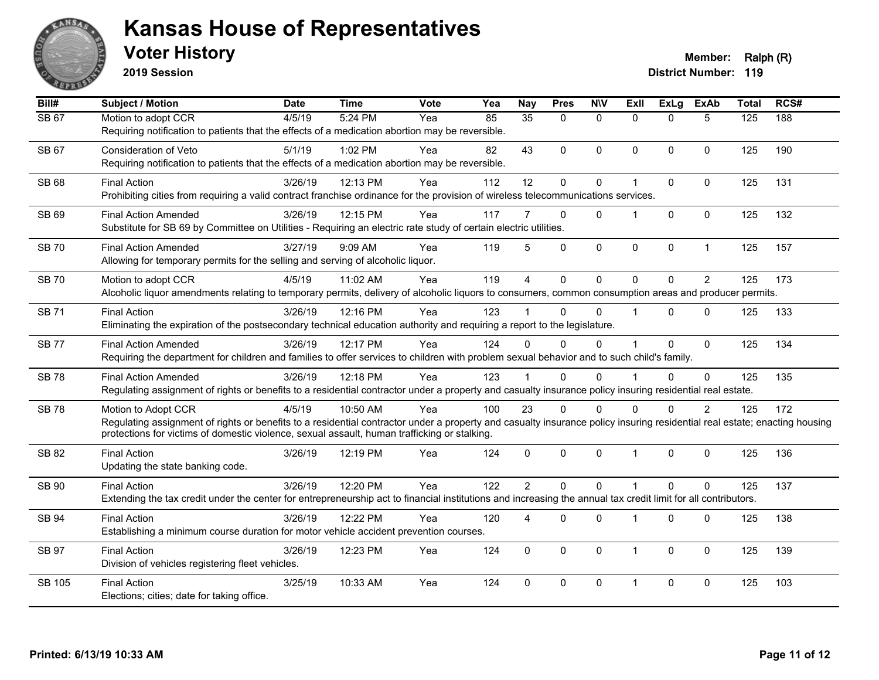

**2019 Session**

| Bill#        | <b>Subject / Motion</b>                                                                                                                                                                                                                                                                          | <b>Date</b> | <b>Time</b> | Vote | Yea | Nay            | <b>Pres</b> | <b>NIV</b>   | Exll           | <b>ExLg</b>  | <b>ExAb</b>    | <b>Total</b> | RCS# |
|--------------|--------------------------------------------------------------------------------------------------------------------------------------------------------------------------------------------------------------------------------------------------------------------------------------------------|-------------|-------------|------|-----|----------------|-------------|--------------|----------------|--------------|----------------|--------------|------|
| <b>SB 67</b> | Motion to adopt CCR<br>Requiring notification to patients that the effects of a medication abortion may be reversible.                                                                                                                                                                           | 4/5/19      | 5:24 PM     | Yea  | 85  | 35             | $\Omega$    | $\Omega$     | $\Omega$       | $\Omega$     | 5              | 125          | 188  |
| SB 67        | <b>Consideration of Veto</b><br>Requiring notification to patients that the effects of a medication abortion may be reversible.                                                                                                                                                                  | 5/1/19      | 1:02 PM     | Yea  | 82  | 43             | $\Omega$    | $\mathbf{0}$ | $\Omega$       | $\Omega$     | $\mathbf{0}$   | 125          | 190  |
| SB 68        | <b>Final Action</b><br>Prohibiting cities from requiring a valid contract franchise ordinance for the provision of wireless telecommunications services.                                                                                                                                         | 3/26/19     | 12:13 PM    | Yea  | 112 | 12             | 0           | $\mathbf 0$  | 1              | $\mathbf{0}$ | $\mathbf 0$    | 125          | 131  |
| SB 69        | <b>Final Action Amended</b><br>Substitute for SB 69 by Committee on Utilities - Requiring an electric rate study of certain electric utilities.                                                                                                                                                  | 3/26/19     | 12:15 PM    | Yea  | 117 | $\overline{7}$ | $\Omega$    | $\Omega$     | 1              | $\Omega$     | $\mathbf{0}$   | 125          | 132  |
| <b>SB 70</b> | <b>Final Action Amended</b><br>Allowing for temporary permits for the selling and serving of alcoholic liquor.                                                                                                                                                                                   | 3/27/19     | 9:09 AM     | Yea  | 119 | 5              | 0           | $\pmb{0}$    | 0              | 0            | $\mathbf{1}$   | 125          | 157  |
| <b>SB 70</b> | Motion to adopt CCR<br>Alcoholic liquor amendments relating to temporary permits, delivery of alcoholic liquors to consumers, common consumption areas and producer permits.                                                                                                                     | 4/5/19      | 11:02 AM    | Yea  | 119 | $\overline{4}$ | $\mathbf 0$ | $\mathbf 0$  | $\Omega$       | $\Omega$     | $\overline{2}$ | 125          | 173  |
| <b>SB71</b>  | <b>Final Action</b><br>Eliminating the expiration of the postsecondary technical education authority and requiring a report to the legislature.                                                                                                                                                  | 3/26/19     | 12:16 PM    | Yea  | 123 |                | $\Omega$    | $\Omega$     | 1              | $\Omega$     | $\mathbf 0$    | 125          | 133  |
| <b>SB 77</b> | <b>Final Action Amended</b><br>Requiring the department for children and families to offer services to children with problem sexual behavior and to such child's family.                                                                                                                         | 3/26/19     | 12:17 PM    | Yea  | 124 | $\Omega$       | $\Omega$    | $\Omega$     |                | $\mathbf 0$  | $\mathbf{0}$   | 125          | 134  |
| <b>SB78</b>  | <b>Final Action Amended</b><br>Regulating assignment of rights or benefits to a residential contractor under a property and casualty insurance policy insuring residential real estate.                                                                                                          | 3/26/19     | 12:18 PM    | Yea  | 123 |                | $\Omega$    | $\Omega$     |                | $\Omega$     | $\mathbf 0$    | 125          | 135  |
| <b>SB78</b>  | Motion to Adopt CCR<br>Regulating assignment of rights or benefits to a residential contractor under a property and casualty insurance policy insuring residential real estate; enacting housing<br>protections for victims of domestic violence, sexual assault, human trafficking or stalking. | 4/5/19      | 10:50 AM    | Yea  | 100 | 23             | $\Omega$    | $\mathbf{0}$ | 0              | $\Omega$     | $\overline{2}$ | 125          | 172  |
| <b>SB 82</b> | <b>Final Action</b><br>Updating the state banking code.                                                                                                                                                                                                                                          | 3/26/19     | 12:19 PM    | Yea  | 124 | $\mathbf{0}$   | $\Omega$    | $\mathbf 0$  | $\mathbf{1}$   | $\mathbf 0$  | $\mathbf 0$    | 125          | 136  |
| <b>SB 90</b> | <b>Final Action</b><br>Extending the tax credit under the center for entrepreneurship act to financial institutions and increasing the annual tax credit limit for all contributors.                                                                                                             | 3/26/19     | 12:20 PM    | Yea  | 122 | $\overline{2}$ | $\Omega$    | $\mathbf{0}$ | 1              | $\Omega$     | $\mathbf 0$    | 125          | 137  |
| <b>SB 94</b> | <b>Final Action</b><br>Establishing a minimum course duration for motor vehicle accident prevention courses.                                                                                                                                                                                     | 3/26/19     | 12:22 PM    | Yea  | 120 | $\overline{4}$ | $\Omega$    | $\mathbf 0$  | $\overline{1}$ | $\mathbf 0$  | $\mathbf 0$    | 125          | 138  |
| <b>SB 97</b> | <b>Final Action</b><br>Division of vehicles registering fleet vehicles.                                                                                                                                                                                                                          | 3/26/19     | 12:23 PM    | Yea  | 124 | $\mathbf{0}$   | $\Omega$    | $\mathbf{0}$ | 1              | $\mathbf{0}$ | $\mathbf 0$    | 125          | 139  |
| SB 105       | <b>Final Action</b><br>Elections; cities; date for taking office.                                                                                                                                                                                                                                | 3/25/19     | 10:33 AM    | Yea  | 124 | $\Omega$       | $\Omega$    | $\mathbf 0$  | 1              | 0            | $\mathbf 0$    | 125          | 103  |